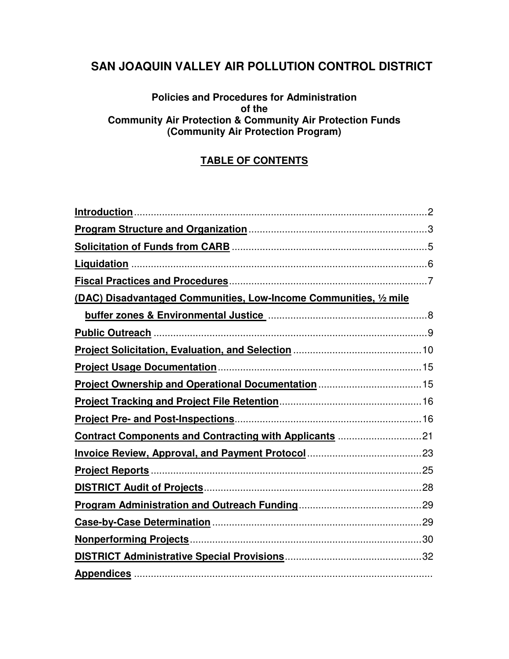# **SAN JOAQUIN VALLEY AIR POLLUTION CONTROL DISTRICT**

#### **Policies and Procedures for Administration of the Community Air Protection & Community Air Protection Funds (Community Air Protection Program)**

#### **TABLE OF CONTENTS**

| (DAC) Disadvantaged Communities, Low-Income Communities, 1/2 mile |  |
|-------------------------------------------------------------------|--|
|                                                                   |  |
|                                                                   |  |
|                                                                   |  |
|                                                                   |  |
|                                                                   |  |
|                                                                   |  |
|                                                                   |  |
| Contract Components and Contracting with Applicants 21            |  |
|                                                                   |  |
|                                                                   |  |
|                                                                   |  |
|                                                                   |  |
|                                                                   |  |
|                                                                   |  |
|                                                                   |  |
|                                                                   |  |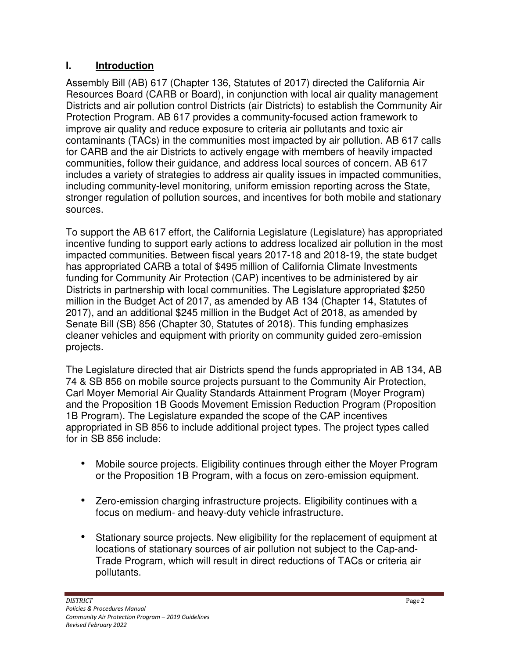### **I. Introduction**

Assembly Bill (AB) 617 (Chapter 136, Statutes of 2017) directed the California Air Resources Board (CARB or Board), in conjunction with local air quality management Districts and air pollution control Districts (air Districts) to establish the Community Air Protection Program. AB 617 provides a community-focused action framework to improve air quality and reduce exposure to criteria air pollutants and toxic air contaminants (TACs) in the communities most impacted by air pollution. AB 617 calls for CARB and the air Districts to actively engage with members of heavily impacted communities, follow their guidance, and address local sources of concern. AB 617 includes a variety of strategies to address air quality issues in impacted communities, including community-level monitoring, uniform emission reporting across the State, stronger regulation of pollution sources, and incentives for both mobile and stationary sources.

To support the AB 617 effort, the California Legislature (Legislature) has appropriated incentive funding to support early actions to address localized air pollution in the most impacted communities. Between fiscal years 2017-18 and 2018-19, the state budget has appropriated CARB a total of \$495 million of California Climate Investments funding for Community Air Protection (CAP) incentives to be administered by air Districts in partnership with local communities. The Legislature appropriated \$250 million in the Budget Act of 2017, as amended by AB 134 (Chapter 14, Statutes of 2017), and an additional \$245 million in the Budget Act of 2018, as amended by Senate Bill (SB) 856 (Chapter 30, Statutes of 2018). This funding emphasizes cleaner vehicles and equipment with priority on community guided zero-emission projects.

The Legislature directed that air Districts spend the funds appropriated in AB 134, AB 74 & SB 856 on mobile source projects pursuant to the Community Air Protection, Carl Moyer Memorial Air Quality Standards Attainment Program (Moyer Program) and the Proposition 1B Goods Movement Emission Reduction Program (Proposition 1B Program). The Legislature expanded the scope of the CAP incentives appropriated in SB 856 to include additional project types. The project types called for in SB 856 include:

- Mobile source projects. Eligibility continues through either the Moyer Program or the Proposition 1B Program, with a focus on zero-emission equipment.
- Zero-emission charging infrastructure projects. Eligibility continues with a focus on medium- and heavy-duty vehicle infrastructure.
- Stationary source projects. New eligibility for the replacement of equipment at locations of stationary sources of air pollution not subject to the Cap-and-Trade Program, which will result in direct reductions of TACs or criteria air pollutants.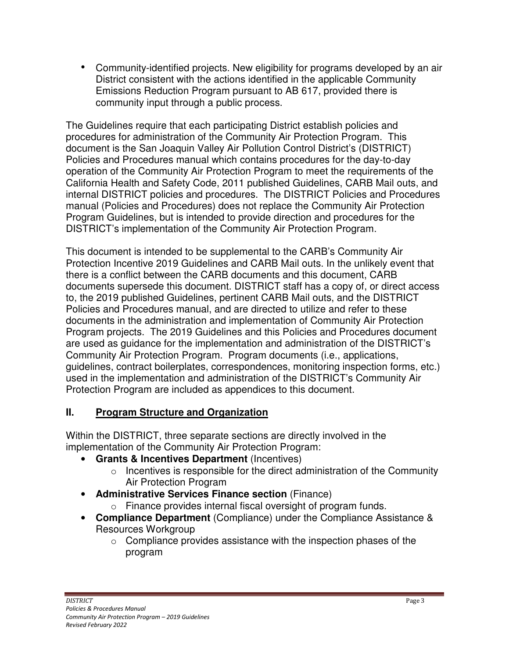• Community-identified projects. New eligibility for programs developed by an air District consistent with the actions identified in the applicable Community Emissions Reduction Program pursuant to AB 617, provided there is community input through a public process.

The Guidelines require that each participating District establish policies and procedures for administration of the Community Air Protection Program. This document is the San Joaquin Valley Air Pollution Control District's (DISTRICT) Policies and Procedures manual which contains procedures for the day-to-day operation of the Community Air Protection Program to meet the requirements of the California Health and Safety Code, 2011 published Guidelines, CARB Mail outs, and internal DISTRICT policies and procedures. The DISTRICT Policies and Procedures manual (Policies and Procedures) does not replace the Community Air Protection Program Guidelines, but is intended to provide direction and procedures for the DISTRICT's implementation of the Community Air Protection Program.

This document is intended to be supplemental to the CARB's Community Air Protection Incentive 2019 Guidelines and CARB Mail outs. In the unlikely event that there is a conflict between the CARB documents and this document, CARB documents supersede this document. DISTRICT staff has a copy of, or direct access to, the 2019 published Guidelines, pertinent CARB Mail outs, and the DISTRICT Policies and Procedures manual, and are directed to utilize and refer to these documents in the administration and implementation of Community Air Protection Program projects. The 2019 Guidelines and this Policies and Procedures document are used as guidance for the implementation and administration of the DISTRICT's Community Air Protection Program. Program documents (i.e., applications, guidelines, contract boilerplates, correspondences, monitoring inspection forms, etc.) used in the implementation and administration of the DISTRICT's Community Air Protection Program are included as appendices to this document.

#### **II. Program Structure and Organization**

Within the DISTRICT, three separate sections are directly involved in the implementation of the Community Air Protection Program:

- **Grants & Incentives Department** (Incentives)
	- o Incentives is responsible for the direct administration of the Community Air Protection Program
- **Administrative Services Finance section** (Finance)
	- o Finance provides internal fiscal oversight of program funds.
- **Compliance Department** (Compliance) under the Compliance Assistance & Resources Workgroup
	- $\circ$  Compliance provides assistance with the inspection phases of the program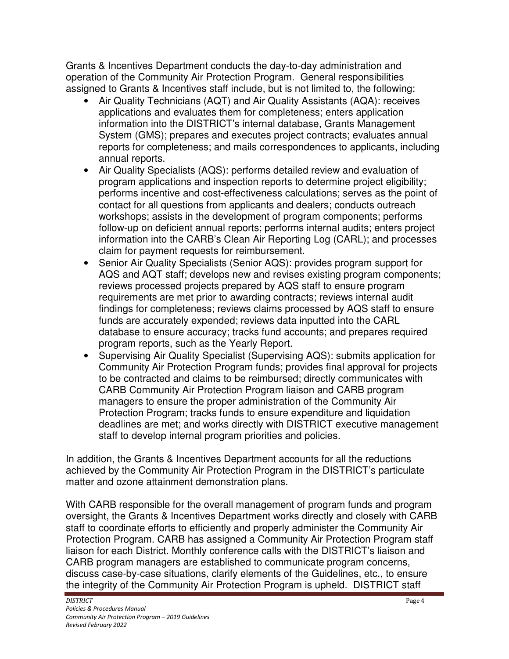Grants & Incentives Department conducts the day-to-day administration and operation of the Community Air Protection Program. General responsibilities assigned to Grants & Incentives staff include, but is not limited to, the following:

- Air Quality Technicians (AQT) and Air Quality Assistants (AQA): receives applications and evaluates them for completeness; enters application information into the DISTRICT's internal database, Grants Management System (GMS); prepares and executes project contracts; evaluates annual reports for completeness; and mails correspondences to applicants, including annual reports.
- Air Quality Specialists (AQS): performs detailed review and evaluation of program applications and inspection reports to determine project eligibility; performs incentive and cost-effectiveness calculations; serves as the point of contact for all questions from applicants and dealers; conducts outreach workshops; assists in the development of program components; performs follow-up on deficient annual reports; performs internal audits; enters project information into the CARB's Clean Air Reporting Log (CARL); and processes claim for payment requests for reimbursement.
- Senior Air Quality Specialists (Senior AQS): provides program support for AQS and AQT staff; develops new and revises existing program components; reviews processed projects prepared by AQS staff to ensure program requirements are met prior to awarding contracts; reviews internal audit findings for completeness; reviews claims processed by AQS staff to ensure funds are accurately expended; reviews data inputted into the CARL database to ensure accuracy; tracks fund accounts; and prepares required program reports, such as the Yearly Report.
- Supervising Air Quality Specialist (Supervising AQS): submits application for Community Air Protection Program funds; provides final approval for projects to be contracted and claims to be reimbursed; directly communicates with CARB Community Air Protection Program liaison and CARB program managers to ensure the proper administration of the Community Air Protection Program; tracks funds to ensure expenditure and liquidation deadlines are met; and works directly with DISTRICT executive management staff to develop internal program priorities and policies.

In addition, the Grants & Incentives Department accounts for all the reductions achieved by the Community Air Protection Program in the DISTRICT's particulate matter and ozone attainment demonstration plans.

With CARB responsible for the overall management of program funds and program oversight, the Grants & Incentives Department works directly and closely with CARB staff to coordinate efforts to efficiently and properly administer the Community Air Protection Program. CARB has assigned a Community Air Protection Program staff liaison for each District. Monthly conference calls with the DISTRICT's liaison and CARB program managers are established to communicate program concerns, discuss case-by-case situations, clarify elements of the Guidelines, etc., to ensure the integrity of the Community Air Protection Program is upheld. DISTRICT staff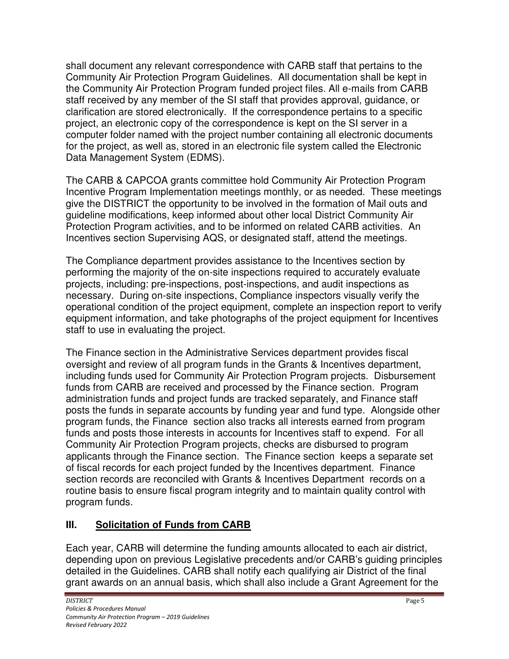shall document any relevant correspondence with CARB staff that pertains to the Community Air Protection Program Guidelines. All documentation shall be kept in the Community Air Protection Program funded project files. All e-mails from CARB staff received by any member of the SI staff that provides approval, guidance, or clarification are stored electronically. If the correspondence pertains to a specific project, an electronic copy of the correspondence is kept on the SI server in a computer folder named with the project number containing all electronic documents for the project, as well as, stored in an electronic file system called the Electronic Data Management System (EDMS).

The CARB & CAPCOA grants committee hold Community Air Protection Program Incentive Program Implementation meetings monthly, or as needed. These meetings give the DISTRICT the opportunity to be involved in the formation of Mail outs and guideline modifications, keep informed about other local District Community Air Protection Program activities, and to be informed on related CARB activities. An Incentives section Supervising AQS, or designated staff, attend the meetings.

The Compliance department provides assistance to the Incentives section by performing the majority of the on-site inspections required to accurately evaluate projects, including: pre-inspections, post-inspections, and audit inspections as necessary. During on-site inspections, Compliance inspectors visually verify the operational condition of the project equipment, complete an inspection report to verify equipment information, and take photographs of the project equipment for Incentives staff to use in evaluating the project.

The Finance section in the Administrative Services department provides fiscal oversight and review of all program funds in the Grants & Incentives department, including funds used for Community Air Protection Program projects. Disbursement funds from CARB are received and processed by the Finance section. Program administration funds and project funds are tracked separately, and Finance staff posts the funds in separate accounts by funding year and fund type. Alongside other program funds, the Finance section also tracks all interests earned from program funds and posts those interests in accounts for Incentives staff to expend. For all Community Air Protection Program projects, checks are disbursed to program applicants through the Finance section. The Finance section keeps a separate set of fiscal records for each project funded by the Incentives department. Finance section records are reconciled with Grants & Incentives Department records on a routine basis to ensure fiscal program integrity and to maintain quality control with program funds.

# **III. Solicitation of Funds from CARB**

Each year, CARB will determine the funding amounts allocated to each air district, depending upon on previous Legislative precedents and/or CARB's guiding principles detailed in the Guidelines. CARB shall notify each qualifying air District of the final grant awards on an annual basis, which shall also include a Grant Agreement for the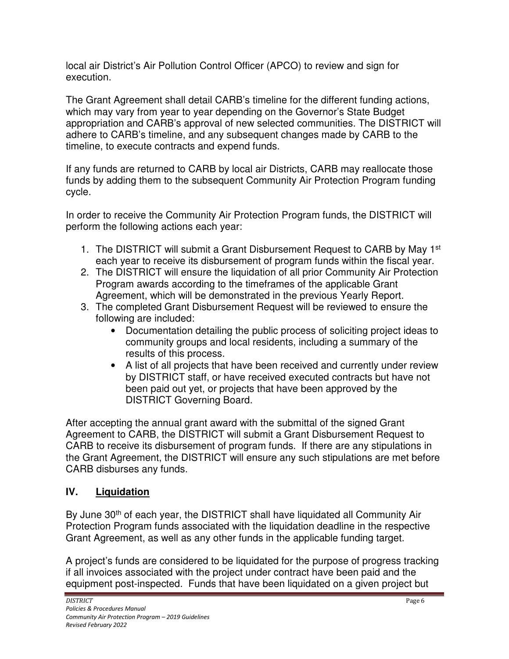local air District's Air Pollution Control Officer (APCO) to review and sign for execution.

The Grant Agreement shall detail CARB's timeline for the different funding actions, which may vary from year to year depending on the Governor's State Budget appropriation and CARB's approval of new selected communities. The DISTRICT will adhere to CARB's timeline, and any subsequent changes made by CARB to the timeline, to execute contracts and expend funds.

If any funds are returned to CARB by local air Districts, CARB may reallocate those funds by adding them to the subsequent Community Air Protection Program funding cycle.

In order to receive the Community Air Protection Program funds, the DISTRICT will perform the following actions each year:

- 1. The DISTRICT will submit a Grant Disbursement Request to CARB by May 1<sup>st</sup> each year to receive its disbursement of program funds within the fiscal year.
- 2. The DISTRICT will ensure the liquidation of all prior Community Air Protection Program awards according to the timeframes of the applicable Grant Agreement, which will be demonstrated in the previous Yearly Report.
- 3. The completed Grant Disbursement Request will be reviewed to ensure the following are included:
	- Documentation detailing the public process of soliciting project ideas to community groups and local residents, including a summary of the results of this process.
	- A list of all projects that have been received and currently under review by DISTRICT staff, or have received executed contracts but have not been paid out yet, or projects that have been approved by the DISTRICT Governing Board.

After accepting the annual grant award with the submittal of the signed Grant Agreement to CARB, the DISTRICT will submit a Grant Disbursement Request to CARB to receive its disbursement of program funds. If there are any stipulations in the Grant Agreement, the DISTRICT will ensure any such stipulations are met before CARB disburses any funds.

### **IV. Liquidation**

By June 30<sup>th</sup> of each year, the DISTRICT shall have liquidated all Community Air Protection Program funds associated with the liquidation deadline in the respective Grant Agreement, as well as any other funds in the applicable funding target.

A project's funds are considered to be liquidated for the purpose of progress tracking if all invoices associated with the project under contract have been paid and the equipment post-inspected. Funds that have been liquidated on a given project but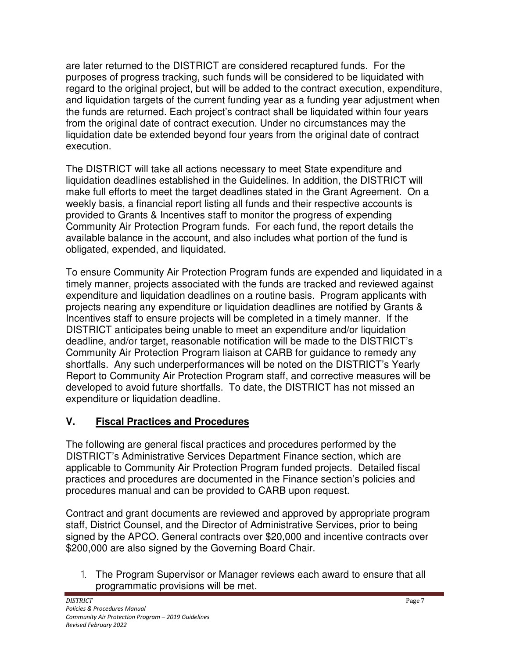are later returned to the DISTRICT are considered recaptured funds. For the purposes of progress tracking, such funds will be considered to be liquidated with regard to the original project, but will be added to the contract execution, expenditure, and liquidation targets of the current funding year as a funding year adjustment when the funds are returned. Each project's contract shall be liquidated within four years from the original date of contract execution. Under no circumstances may the liquidation date be extended beyond four years from the original date of contract execution.

The DISTRICT will take all actions necessary to meet State expenditure and liquidation deadlines established in the Guidelines. In addition, the DISTRICT will make full efforts to meet the target deadlines stated in the Grant Agreement. On a weekly basis, a financial report listing all funds and their respective accounts is provided to Grants & Incentives staff to monitor the progress of expending Community Air Protection Program funds. For each fund, the report details the available balance in the account, and also includes what portion of the fund is obligated, expended, and liquidated.

To ensure Community Air Protection Program funds are expended and liquidated in a timely manner, projects associated with the funds are tracked and reviewed against expenditure and liquidation deadlines on a routine basis. Program applicants with projects nearing any expenditure or liquidation deadlines are notified by Grants & Incentives staff to ensure projects will be completed in a timely manner. If the DISTRICT anticipates being unable to meet an expenditure and/or liquidation deadline, and/or target, reasonable notification will be made to the DISTRICT's Community Air Protection Program liaison at CARB for guidance to remedy any shortfalls. Any such underperformances will be noted on the DISTRICT's Yearly Report to Community Air Protection Program staff, and corrective measures will be developed to avoid future shortfalls. To date, the DISTRICT has not missed an expenditure or liquidation deadline.

### **V. Fiscal Practices and Procedures**

The following are general fiscal practices and procedures performed by the DISTRICT's Administrative Services Department Finance section, which are applicable to Community Air Protection Program funded projects. Detailed fiscal practices and procedures are documented in the Finance section's policies and procedures manual and can be provided to CARB upon request.

Contract and grant documents are reviewed and approved by appropriate program staff, District Counsel, and the Director of Administrative Services, prior to being signed by the APCO. General contracts over \$20,000 and incentive contracts over \$200,000 are also signed by the Governing Board Chair.

1. The Program Supervisor or Manager reviews each award to ensure that all programmatic provisions will be met.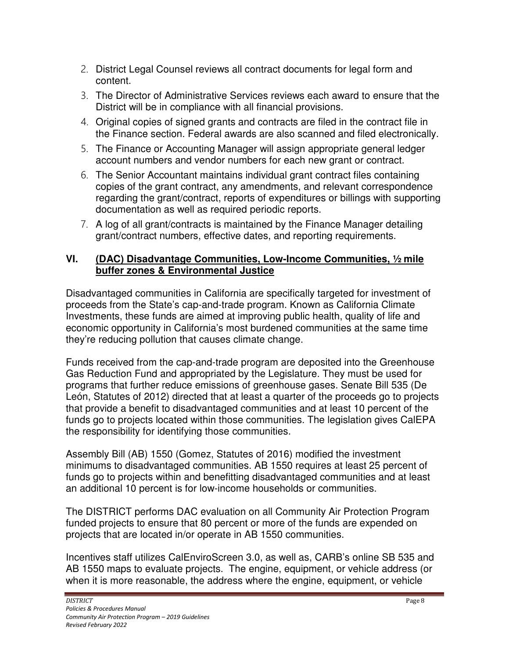- 2. District Legal Counsel reviews all contract documents for legal form and content.
- 3. The Director of Administrative Services reviews each award to ensure that the District will be in compliance with all financial provisions.
- 4. Original copies of signed grants and contracts are filed in the contract file in the Finance section. Federal awards are also scanned and filed electronically.
- 5. The Finance or Accounting Manager will assign appropriate general ledger account numbers and vendor numbers for each new grant or contract.
- 6. The Senior Accountant maintains individual grant contract files containing copies of the grant contract, any amendments, and relevant correspondence regarding the grant/contract, reports of expenditures or billings with supporting documentation as well as required periodic reports.
- 7. A log of all grant/contracts is maintained by the Finance Manager detailing grant/contract numbers, effective dates, and reporting requirements.

#### **VI. (DAC) Disadvantage Communities, Low-Income Communities, ½ mile buffer zones & Environmental Justice**

Disadvantaged communities in California are specifically targeted for investment of proceeds from the State's cap-and-trade program. Known as California Climate Investments, these funds are aimed at improving public health, quality of life and economic opportunity in California's most burdened communities at the same time they're reducing pollution that causes climate change.

Funds received from the cap-and-trade program are deposited into the Greenhouse Gas Reduction Fund and appropriated by the Legislature. They must be used for programs that further reduce emissions of greenhouse gases. Senate Bill 535 (De León, Statutes of 2012) directed that at least a quarter of the proceeds go to projects that provide a benefit to disadvantaged communities and at least 10 percent of the funds go to projects located within those communities. The legislation gives CalEPA the responsibility for identifying those communities.

Assembly Bill (AB) 1550 (Gomez, Statutes of 2016) modified the investment minimums to disadvantaged communities. AB 1550 requires at least 25 percent of funds go to projects within and benefitting disadvantaged communities and at least an additional 10 percent is for low-income households or communities.

The DISTRICT performs DAC evaluation on all Community Air Protection Program funded projects to ensure that 80 percent or more of the funds are expended on projects that are located in/or operate in AB 1550 communities.

Incentives staff utilizes CalEnviroScreen 3.0, as well as, CARB's online SB 535 and AB 1550 maps to evaluate projects. The engine, equipment, or vehicle address (or when it is more reasonable, the address where the engine, equipment, or vehicle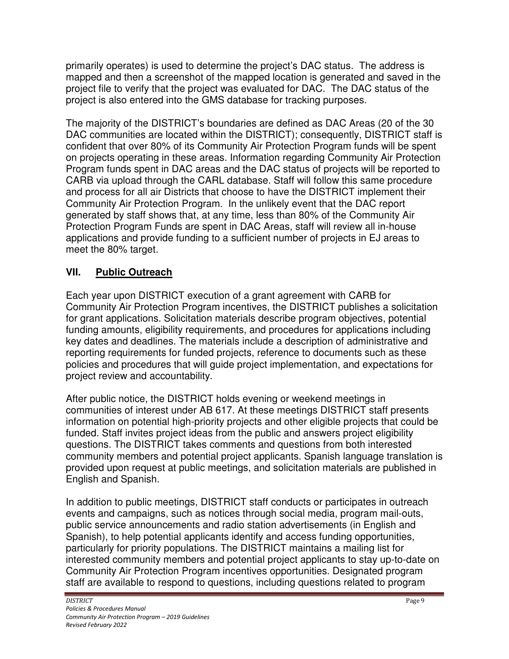primarily operates) is used to determine the project's DAC status. The address is mapped and then a screenshot of the mapped location is generated and saved in the project file to verify that the project was evaluated for DAC. The DAC status of the project is also entered into the GMS database for tracking purposes.

The majority of the DISTRICT's boundaries are defined as DAC Areas (20 of the 30 DAC communities are located within the DISTRICT); consequently, DISTRICT staff is confident that over 80% of its Community Air Protection Program funds will be spent on projects operating in these areas. Information regarding Community Air Protection Program funds spent in DAC areas and the DAC status of projects will be reported to CARB via upload through the CARL database. Staff will follow this same procedure and process for all air Districts that choose to have the DISTRICT implement their Community Air Protection Program. In the unlikely event that the DAC report generated by staff shows that, at any time, less than 80% of the Community Air Protection Program Funds are spent in DAC Areas, staff will review all in-house applications and provide funding to a sufficient number of projects in EJ areas to meet the 80% target.

#### **VII. Public Outreach**

Each year upon DISTRICT execution of a grant agreement with CARB for Community Air Protection Program incentives, the DISTRICT publishes a solicitation for grant applications. Solicitation materials describe program objectives, potential funding amounts, eligibility requirements, and procedures for applications including key dates and deadlines. The materials include a description of administrative and reporting requirements for funded projects, reference to documents such as these policies and procedures that will guide project implementation, and expectations for project review and accountability.

After public notice, the DISTRICT holds evening or weekend meetings in communities of interest under AB 617. At these meetings DISTRICT staff presents information on potential high-priority projects and other eligible projects that could be funded. Staff invites project ideas from the public and answers project eligibility questions. The DISTRICT takes comments and questions from both interested community members and potential project applicants. Spanish language translation is provided upon request at public meetings, and solicitation materials are published in English and Spanish.

In addition to public meetings, DISTRICT staff conducts or participates in outreach events and campaigns, such as notices through social media, program mail-outs, public service announcements and radio station advertisements (in English and Spanish), to help potential applicants identify and access funding opportunities, particularly for priority populations. The DISTRICT maintains a mailing list for interested community members and potential project applicants to stay up-to-date on Community Air Protection Program incentives opportunities. Designated program staff are available to respond to questions, including questions related to program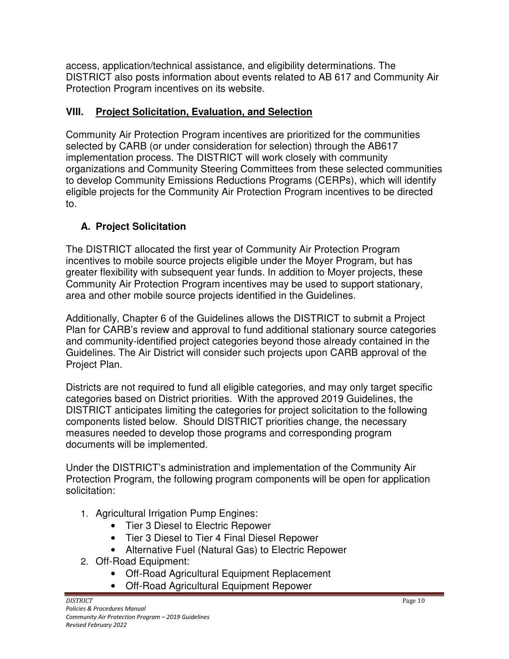access, application/technical assistance, and eligibility determinations. The DISTRICT also posts information about events related to AB 617 and Community Air Protection Program incentives on its website.

#### **VIII. Project Solicitation, Evaluation, and Selection**

Community Air Protection Program incentives are prioritized for the communities selected by CARB (or under consideration for selection) through the AB617 implementation process. The DISTRICT will work closely with community organizations and Community Steering Committees from these selected communities to develop Community Emissions Reductions Programs (CERPs), which will identify eligible projects for the Community Air Protection Program incentives to be directed to.

# **A. Project Solicitation**

The DISTRICT allocated the first year of Community Air Protection Program incentives to mobile source projects eligible under the Moyer Program, but has greater flexibility with subsequent year funds. In addition to Moyer projects, these Community Air Protection Program incentives may be used to support stationary, area and other mobile source projects identified in the Guidelines.

Additionally, Chapter 6 of the Guidelines allows the DISTRICT to submit a Project Plan for CARB's review and approval to fund additional stationary source categories and community-identified project categories beyond those already contained in the Guidelines. The Air District will consider such projects upon CARB approval of the Project Plan.

Districts are not required to fund all eligible categories, and may only target specific categories based on District priorities. With the approved 2019 Guidelines, the DISTRICT anticipates limiting the categories for project solicitation to the following components listed below. Should DISTRICT priorities change, the necessary measures needed to develop those programs and corresponding program documents will be implemented.

Under the DISTRICT's administration and implementation of the Community Air Protection Program, the following program components will be open for application solicitation:

- 1. Agricultural Irrigation Pump Engines:
	- Tier 3 Diesel to Electric Repower
	- Tier 3 Diesel to Tier 4 Final Diesel Repower
	- Alternative Fuel (Natural Gas) to Electric Repower
- 2. Off-Road Equipment:
	- Off-Road Agricultural Equipment Replacement
	- Off-Road Agricultural Equipment Repower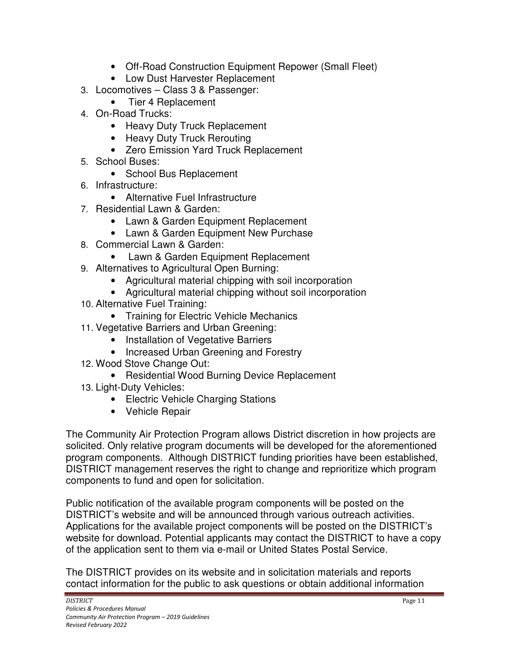- Off-Road Construction Equipment Repower (Small Fleet)
- Low Dust Harvester Replacement
- 3. Locomotives Class 3 & Passenger:
	- Tier 4 Replacement
- 4. On-Road Trucks:
	- Heavy Duty Truck Replacement
	- Heavy Duty Truck Rerouting
	- Zero Emission Yard Truck Replacement
- 5. School Buses:
	- School Bus Replacement
- 6. Infrastructure:
	- Alternative Fuel Infrastructure
- 7. Residential Lawn & Garden:
	- Lawn & Garden Equipment Replacement
	- Lawn & Garden Equipment New Purchase
- 8. Commercial Lawn & Garden:
	- Lawn & Garden Equipment Replacement
- 9. Alternatives to Agricultural Open Burning:
	- Agricultural material chipping with soil incorporation
	- Agricultural material chipping without soil incorporation
- 10. Alternative Fuel Training:
	- Training for Electric Vehicle Mechanics
- 11. Vegetative Barriers and Urban Greening:
	- Installation of Vegetative Barriers
	- Increased Urban Greening and Forestry
- 12. Wood Stove Change Out:
	- Residential Wood Burning Device Replacement
- 13. Light-Duty Vehicles:
	- Electric Vehicle Charging Stations
	- Vehicle Repair

The Community Air Protection Program allows District discretion in how projects are solicited. Only relative program documents will be developed for the aforementioned program components. Although DISTRICT funding priorities have been established, DISTRICT management reserves the right to change and reprioritize which program components to fund and open for solicitation.

Public notification of the available program components will be posted on the DISTRICT's website and will be announced through various outreach activities. Applications for the available project components will be posted on the DISTRICT's website for download. Potential applicants may contact the DISTRICT to have a copy of the application sent to them via e-mail or United States Postal Service.

The DISTRICT provides on its website and in solicitation materials and reports contact information for the public to ask questions or obtain additional information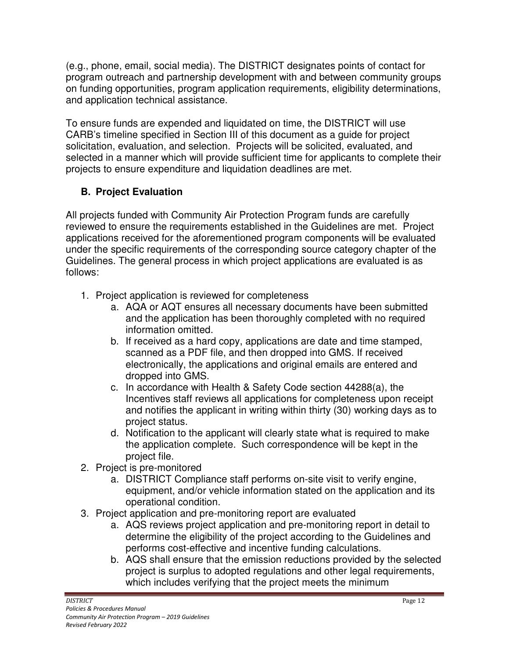(e.g., phone, email, social media). The DISTRICT designates points of contact for program outreach and partnership development with and between community groups on funding opportunities, program application requirements, eligibility determinations, and application technical assistance.

To ensure funds are expended and liquidated on time, the DISTRICT will use CARB's timeline specified in Section III of this document as a guide for project solicitation, evaluation, and selection. Projects will be solicited, evaluated, and selected in a manner which will provide sufficient time for applicants to complete their projects to ensure expenditure and liquidation deadlines are met.

# **B. Project Evaluation**

All projects funded with Community Air Protection Program funds are carefully reviewed to ensure the requirements established in the Guidelines are met. Project applications received for the aforementioned program components will be evaluated under the specific requirements of the corresponding source category chapter of the Guidelines. The general process in which project applications are evaluated is as follows:

- 1. Project application is reviewed for completeness
	- a. AQA or AQT ensures all necessary documents have been submitted and the application has been thoroughly completed with no required information omitted.
	- b. If received as a hard copy, applications are date and time stamped, scanned as a PDF file, and then dropped into GMS. If received electronically, the applications and original emails are entered and dropped into GMS.
	- c. In accordance with Health & Safety Code section 44288(a), the Incentives staff reviews all applications for completeness upon receipt and notifies the applicant in writing within thirty (30) working days as to project status.
	- d. Notification to the applicant will clearly state what is required to make the application complete. Such correspondence will be kept in the project file.
- 2. Project is pre-monitored
	- a. DISTRICT Compliance staff performs on-site visit to verify engine, equipment, and/or vehicle information stated on the application and its operational condition.
- 3. Project application and pre-monitoring report are evaluated
	- a. AQS reviews project application and pre-monitoring report in detail to determine the eligibility of the project according to the Guidelines and performs cost-effective and incentive funding calculations.
	- b. AQS shall ensure that the emission reductions provided by the selected project is surplus to adopted regulations and other legal requirements, which includes verifying that the project meets the minimum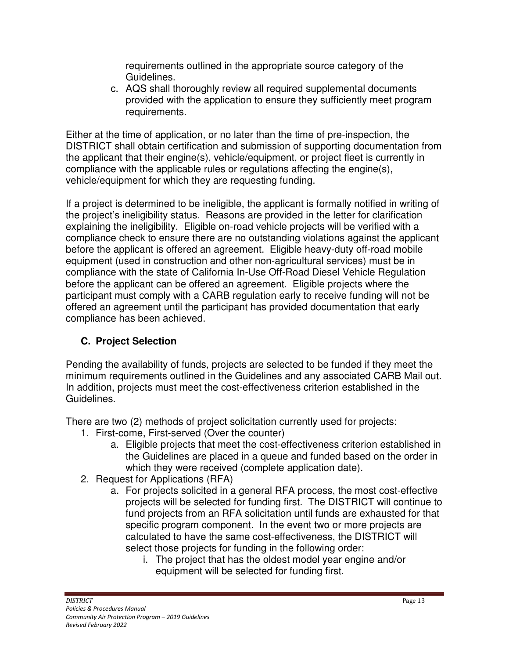requirements outlined in the appropriate source category of the Guidelines.

c. AQS shall thoroughly review all required supplemental documents provided with the application to ensure they sufficiently meet program requirements.

Either at the time of application, or no later than the time of pre-inspection, the DISTRICT shall obtain certification and submission of supporting documentation from the applicant that their engine(s), vehicle/equipment, or project fleet is currently in compliance with the applicable rules or regulations affecting the engine(s), vehicle/equipment for which they are requesting funding.

If a project is determined to be ineligible, the applicant is formally notified in writing of the project's ineligibility status. Reasons are provided in the letter for clarification explaining the ineligibility. Eligible on-road vehicle projects will be verified with a compliance check to ensure there are no outstanding violations against the applicant before the applicant is offered an agreement. Eligible heavy-duty off-road mobile equipment (used in construction and other non-agricultural services) must be in compliance with the state of California In-Use Off-Road Diesel Vehicle Regulation before the applicant can be offered an agreement. Eligible projects where the participant must comply with a CARB regulation early to receive funding will not be offered an agreement until the participant has provided documentation that early compliance has been achieved.

### **C. Project Selection**

Pending the availability of funds, projects are selected to be funded if they meet the minimum requirements outlined in the Guidelines and any associated CARB Mail out. In addition, projects must meet the cost-effectiveness criterion established in the Guidelines.

There are two (2) methods of project solicitation currently used for projects:

- 1. First-come, First-served (Over the counter)
	- a. Eligible projects that meet the cost-effectiveness criterion established in the Guidelines are placed in a queue and funded based on the order in which they were received (complete application date).
- 2. Request for Applications (RFA)
	- a. For projects solicited in a general RFA process, the most cost-effective projects will be selected for funding first. The DISTRICT will continue to fund projects from an RFA solicitation until funds are exhausted for that specific program component. In the event two or more projects are calculated to have the same cost-effectiveness, the DISTRICT will select those projects for funding in the following order:
		- i. The project that has the oldest model year engine and/or equipment will be selected for funding first.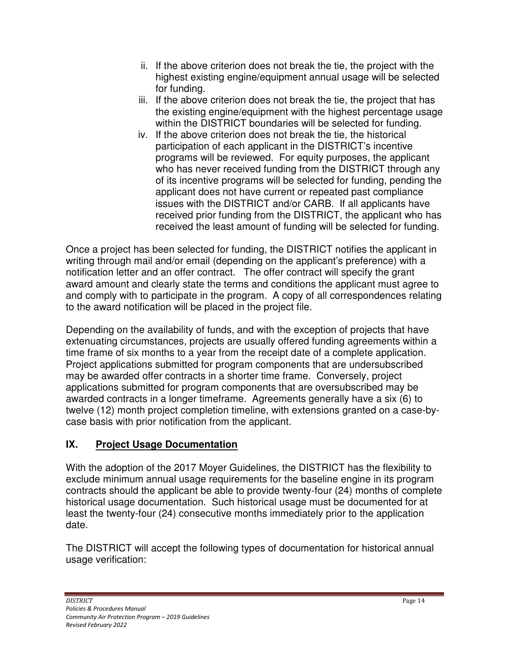- ii. If the above criterion does not break the tie, the project with the highest existing engine/equipment annual usage will be selected for funding.
- iii. If the above criterion does not break the tie, the project that has the existing engine/equipment with the highest percentage usage within the DISTRICT boundaries will be selected for funding.
- iv. If the above criterion does not break the tie, the historical participation of each applicant in the DISTRICT's incentive programs will be reviewed. For equity purposes, the applicant who has never received funding from the DISTRICT through any of its incentive programs will be selected for funding, pending the applicant does not have current or repeated past compliance issues with the DISTRICT and/or CARB. If all applicants have received prior funding from the DISTRICT, the applicant who has received the least amount of funding will be selected for funding.

Once a project has been selected for funding, the DISTRICT notifies the applicant in writing through mail and/or email (depending on the applicant's preference) with a notification letter and an offer contract. The offer contract will specify the grant award amount and clearly state the terms and conditions the applicant must agree to and comply with to participate in the program. A copy of all correspondences relating to the award notification will be placed in the project file.

Depending on the availability of funds, and with the exception of projects that have extenuating circumstances, projects are usually offered funding agreements within a time frame of six months to a year from the receipt date of a complete application. Project applications submitted for program components that are undersubscribed may be awarded offer contracts in a shorter time frame. Conversely, project applications submitted for program components that are oversubscribed may be awarded contracts in a longer timeframe. Agreements generally have a six (6) to twelve (12) month project completion timeline, with extensions granted on a case-bycase basis with prior notification from the applicant.

### **IX. Project Usage Documentation**

With the adoption of the 2017 Moyer Guidelines, the DISTRICT has the flexibility to exclude minimum annual usage requirements for the baseline engine in its program contracts should the applicant be able to provide twenty-four (24) months of complete historical usage documentation. Such historical usage must be documented for at least the twenty-four (24) consecutive months immediately prior to the application date.

The DISTRICT will accept the following types of documentation for historical annual usage verification: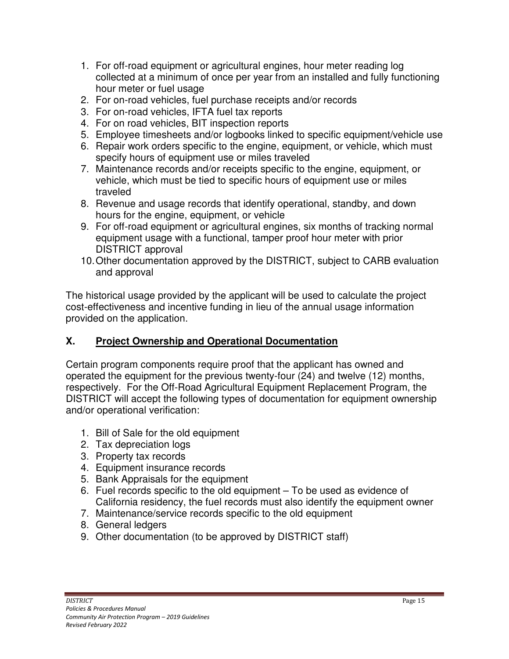- 1. For off-road equipment or agricultural engines, hour meter reading log collected at a minimum of once per year from an installed and fully functioning hour meter or fuel usage
- 2. For on-road vehicles, fuel purchase receipts and/or records
- 3. For on-road vehicles, IFTA fuel tax reports
- 4. For on road vehicles, BIT inspection reports
- 5. Employee timesheets and/or logbooks linked to specific equipment/vehicle use
- 6. Repair work orders specific to the engine, equipment, or vehicle, which must specify hours of equipment use or miles traveled
- 7. Maintenance records and/or receipts specific to the engine, equipment, or vehicle, which must be tied to specific hours of equipment use or miles traveled
- 8. Revenue and usage records that identify operational, standby, and down hours for the engine, equipment, or vehicle
- 9. For off-road equipment or agricultural engines, six months of tracking normal equipment usage with a functional, tamper proof hour meter with prior DISTRICT approval
- 10. Other documentation approved by the DISTRICT, subject to CARB evaluation and approval

The historical usage provided by the applicant will be used to calculate the project cost-effectiveness and incentive funding in lieu of the annual usage information provided on the application.

#### **X. Project Ownership and Operational Documentation**

Certain program components require proof that the applicant has owned and operated the equipment for the previous twenty-four (24) and twelve (12) months, respectively. For the Off-Road Agricultural Equipment Replacement Program, the DISTRICT will accept the following types of documentation for equipment ownership and/or operational verification:

- 1. Bill of Sale for the old equipment
- 2. Tax depreciation logs
- 3. Property tax records
- 4. Equipment insurance records
- 5. Bank Appraisals for the equipment
- 6. Fuel records specific to the old equipment To be used as evidence of California residency, the fuel records must also identify the equipment owner
- 7. Maintenance/service records specific to the old equipment
- 8. General ledgers
- 9. Other documentation (to be approved by DISTRICT staff)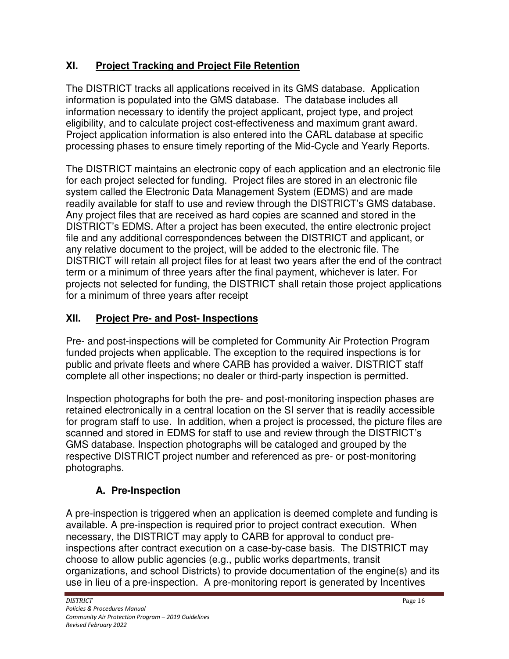## **XI. Project Tracking and Project File Retention**

The DISTRICT tracks all applications received in its GMS database. Application information is populated into the GMS database. The database includes all information necessary to identify the project applicant, project type, and project eligibility, and to calculate project cost-effectiveness and maximum grant award. Project application information is also entered into the CARL database at specific processing phases to ensure timely reporting of the Mid-Cycle and Yearly Reports.

The DISTRICT maintains an electronic copy of each application and an electronic file for each project selected for funding. Project files are stored in an electronic file system called the Electronic Data Management System (EDMS) and are made readily available for staff to use and review through the DISTRICT's GMS database. Any project files that are received as hard copies are scanned and stored in the DISTRICT's EDMS. After a project has been executed, the entire electronic project file and any additional correspondences between the DISTRICT and applicant, or any relative document to the project, will be added to the electronic file. The DISTRICT will retain all project files for at least two years after the end of the contract term or a minimum of three years after the final payment, whichever is later. For projects not selected for funding, the DISTRICT shall retain those project applications for a minimum of three years after receipt

# **XII. Project Pre- and Post- Inspections**

Pre- and post-inspections will be completed for Community Air Protection Program funded projects when applicable. The exception to the required inspections is for public and private fleets and where CARB has provided a waiver. DISTRICT staff complete all other inspections; no dealer or third-party inspection is permitted.

Inspection photographs for both the pre- and post-monitoring inspection phases are retained electronically in a central location on the SI server that is readily accessible for program staff to use. In addition, when a project is processed, the picture files are scanned and stored in EDMS for staff to use and review through the DISTRICT's GMS database. Inspection photographs will be cataloged and grouped by the respective DISTRICT project number and referenced as pre- or post-monitoring photographs.

# **A. Pre-Inspection**

A pre-inspection is triggered when an application is deemed complete and funding is available. A pre-inspection is required prior to project contract execution. When necessary, the DISTRICT may apply to CARB for approval to conduct preinspections after contract execution on a case-by-case basis. The DISTRICT may choose to allow public agencies (e.g., public works departments, transit organizations, and school Districts) to provide documentation of the engine(s) and its use in lieu of a pre-inspection. A pre-monitoring report is generated by Incentives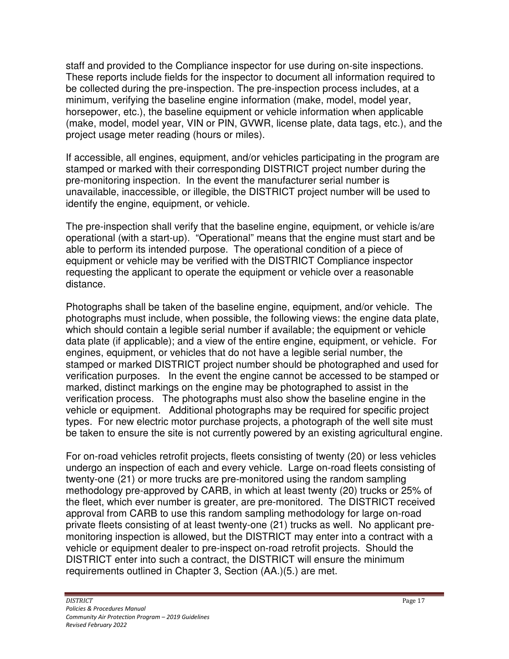staff and provided to the Compliance inspector for use during on-site inspections. These reports include fields for the inspector to document all information required to be collected during the pre-inspection. The pre-inspection process includes, at a minimum, verifying the baseline engine information (make, model, model year, horsepower, etc.), the baseline equipment or vehicle information when applicable (make, model, model year, VIN or PIN, GVWR, license plate, data tags, etc.), and the project usage meter reading (hours or miles).

If accessible, all engines, equipment, and/or vehicles participating in the program are stamped or marked with their corresponding DISTRICT project number during the pre-monitoring inspection. In the event the manufacturer serial number is unavailable, inaccessible, or illegible, the DISTRICT project number will be used to identify the engine, equipment, or vehicle.

The pre-inspection shall verify that the baseline engine, equipment, or vehicle is/are operational (with a start-up). "Operational" means that the engine must start and be able to perform its intended purpose. The operational condition of a piece of equipment or vehicle may be verified with the DISTRICT Compliance inspector requesting the applicant to operate the equipment or vehicle over a reasonable distance.

Photographs shall be taken of the baseline engine, equipment, and/or vehicle. The photographs must include, when possible, the following views: the engine data plate, which should contain a legible serial number if available; the equipment or vehicle data plate (if applicable); and a view of the entire engine, equipment, or vehicle. For engines, equipment, or vehicles that do not have a legible serial number, the stamped or marked DISTRICT project number should be photographed and used for verification purposes. In the event the engine cannot be accessed to be stamped or marked, distinct markings on the engine may be photographed to assist in the verification process. The photographs must also show the baseline engine in the vehicle or equipment. Additional photographs may be required for specific project types. For new electric motor purchase projects, a photograph of the well site must be taken to ensure the site is not currently powered by an existing agricultural engine.

For on-road vehicles retrofit projects, fleets consisting of twenty (20) or less vehicles undergo an inspection of each and every vehicle. Large on-road fleets consisting of twenty-one (21) or more trucks are pre-monitored using the random sampling methodology pre-approved by CARB, in which at least twenty (20) trucks or 25% of the fleet, which ever number is greater, are pre-monitored. The DISTRICT received approval from CARB to use this random sampling methodology for large on-road private fleets consisting of at least twenty-one (21) trucks as well. No applicant premonitoring inspection is allowed, but the DISTRICT may enter into a contract with a vehicle or equipment dealer to pre-inspect on-road retrofit projects. Should the DISTRICT enter into such a contract, the DISTRICT will ensure the minimum requirements outlined in Chapter 3, Section (AA.)(5.) are met.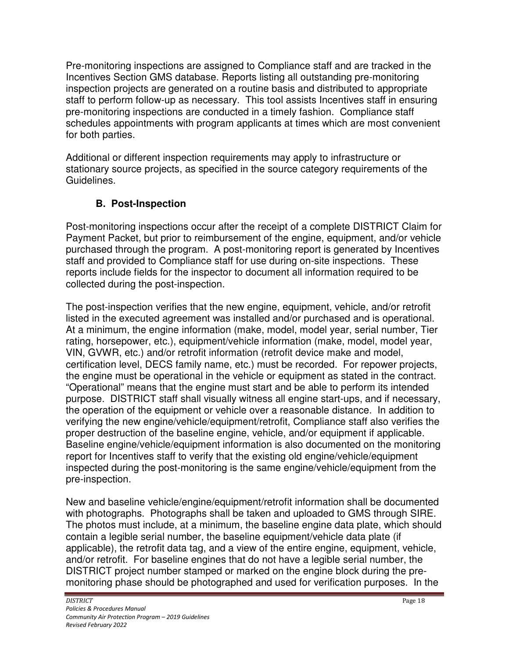Pre-monitoring inspections are assigned to Compliance staff and are tracked in the Incentives Section GMS database. Reports listing all outstanding pre-monitoring inspection projects are generated on a routine basis and distributed to appropriate staff to perform follow-up as necessary. This tool assists Incentives staff in ensuring pre-monitoring inspections are conducted in a timely fashion. Compliance staff schedules appointments with program applicants at times which are most convenient for both parties.

Additional or different inspection requirements may apply to infrastructure or stationary source projects, as specified in the source category requirements of the Guidelines.

### **B. Post-Inspection**

Post-monitoring inspections occur after the receipt of a complete DISTRICT Claim for Payment Packet, but prior to reimbursement of the engine, equipment, and/or vehicle purchased through the program. A post-monitoring report is generated by Incentives staff and provided to Compliance staff for use during on-site inspections. These reports include fields for the inspector to document all information required to be collected during the post-inspection.

The post-inspection verifies that the new engine, equipment, vehicle, and/or retrofit listed in the executed agreement was installed and/or purchased and is operational. At a minimum, the engine information (make, model, model year, serial number, Tier rating, horsepower, etc.), equipment/vehicle information (make, model, model year, VIN, GVWR, etc.) and/or retrofit information (retrofit device make and model, certification level, DECS family name, etc.) must be recorded. For repower projects, the engine must be operational in the vehicle or equipment as stated in the contract. "Operational" means that the engine must start and be able to perform its intended purpose. DISTRICT staff shall visually witness all engine start-ups, and if necessary, the operation of the equipment or vehicle over a reasonable distance. In addition to verifying the new engine/vehicle/equipment/retrofit, Compliance staff also verifies the proper destruction of the baseline engine, vehicle, and/or equipment if applicable. Baseline engine/vehicle/equipment information is also documented on the monitoring report for Incentives staff to verify that the existing old engine/vehicle/equipment inspected during the post-monitoring is the same engine/vehicle/equipment from the pre-inspection.

New and baseline vehicle/engine/equipment/retrofit information shall be documented with photographs. Photographs shall be taken and uploaded to GMS through SIRE. The photos must include, at a minimum, the baseline engine data plate, which should contain a legible serial number, the baseline equipment/vehicle data plate (if applicable), the retrofit data tag, and a view of the entire engine, equipment, vehicle, and/or retrofit. For baseline engines that do not have a legible serial number, the DISTRICT project number stamped or marked on the engine block during the premonitoring phase should be photographed and used for verification purposes. In the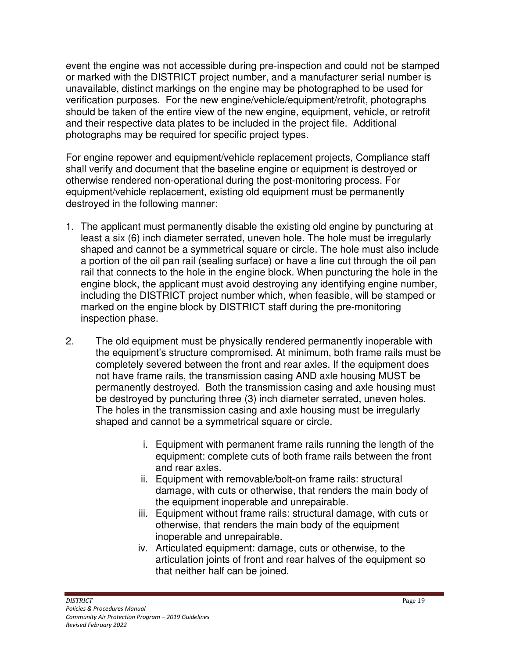event the engine was not accessible during pre-inspection and could not be stamped or marked with the DISTRICT project number, and a manufacturer serial number is unavailable, distinct markings on the engine may be photographed to be used for verification purposes. For the new engine/vehicle/equipment/retrofit, photographs should be taken of the entire view of the new engine, equipment, vehicle, or retrofit and their respective data plates to be included in the project file. Additional photographs may be required for specific project types.

For engine repower and equipment/vehicle replacement projects, Compliance staff shall verify and document that the baseline engine or equipment is destroyed or otherwise rendered non-operational during the post-monitoring process. For equipment/vehicle replacement, existing old equipment must be permanently destroyed in the following manner:

- 1. The applicant must permanently disable the existing old engine by puncturing at least a six (6) inch diameter serrated, uneven hole. The hole must be irregularly shaped and cannot be a symmetrical square or circle. The hole must also include a portion of the oil pan rail (sealing surface) or have a line cut through the oil pan rail that connects to the hole in the engine block. When puncturing the hole in the engine block, the applicant must avoid destroying any identifying engine number, including the DISTRICT project number which, when feasible, will be stamped or marked on the engine block by DISTRICT staff during the pre-monitoring inspection phase.
- 2. The old equipment must be physically rendered permanently inoperable with the equipment's structure compromised. At minimum, both frame rails must be completely severed between the front and rear axles. If the equipment does not have frame rails, the transmission casing AND axle housing MUST be permanently destroyed. Both the transmission casing and axle housing must be destroyed by puncturing three (3) inch diameter serrated, uneven holes. The holes in the transmission casing and axle housing must be irregularly shaped and cannot be a symmetrical square or circle.
	- i. Equipment with permanent frame rails running the length of the equipment: complete cuts of both frame rails between the front and rear axles.
	- ii. Equipment with removable/bolt-on frame rails: structural damage, with cuts or otherwise, that renders the main body of the equipment inoperable and unrepairable.
	- iii. Equipment without frame rails: structural damage, with cuts or otherwise, that renders the main body of the equipment inoperable and unrepairable.
	- iv. Articulated equipment: damage, cuts or otherwise, to the articulation joints of front and rear halves of the equipment so that neither half can be joined.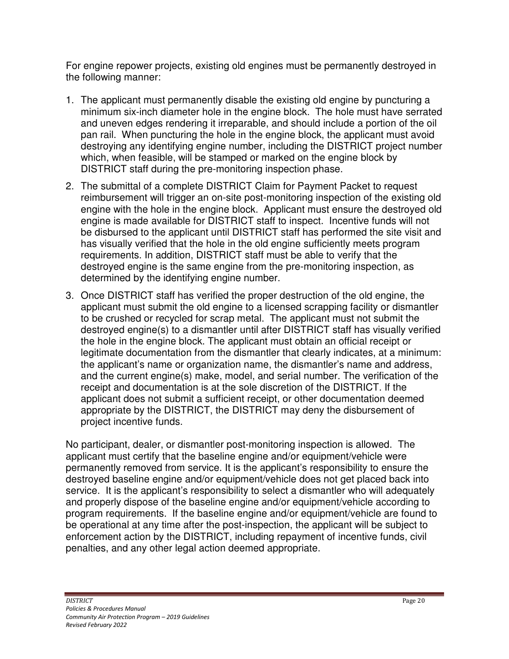For engine repower projects, existing old engines must be permanently destroyed in the following manner:

- 1. The applicant must permanently disable the existing old engine by puncturing a minimum six-inch diameter hole in the engine block. The hole must have serrated and uneven edges rendering it irreparable, and should include a portion of the oil pan rail. When puncturing the hole in the engine block, the applicant must avoid destroying any identifying engine number, including the DISTRICT project number which, when feasible, will be stamped or marked on the engine block by DISTRICT staff during the pre-monitoring inspection phase.
- 2. The submittal of a complete DISTRICT Claim for Payment Packet to request reimbursement will trigger an on-site post-monitoring inspection of the existing old engine with the hole in the engine block. Applicant must ensure the destroyed old engine is made available for DISTRICT staff to inspect. Incentive funds will not be disbursed to the applicant until DISTRICT staff has performed the site visit and has visually verified that the hole in the old engine sufficiently meets program requirements. In addition, DISTRICT staff must be able to verify that the destroyed engine is the same engine from the pre-monitoring inspection, as determined by the identifying engine number.
- 3. Once DISTRICT staff has verified the proper destruction of the old engine, the applicant must submit the old engine to a licensed scrapping facility or dismantler to be crushed or recycled for scrap metal. The applicant must not submit the destroyed engine(s) to a dismantler until after DISTRICT staff has visually verified the hole in the engine block. The applicant must obtain an official receipt or legitimate documentation from the dismantler that clearly indicates, at a minimum: the applicant's name or organization name, the dismantler's name and address, and the current engine(s) make, model, and serial number. The verification of the receipt and documentation is at the sole discretion of the DISTRICT. If the applicant does not submit a sufficient receipt, or other documentation deemed appropriate by the DISTRICT, the DISTRICT may deny the disbursement of project incentive funds.

No participant, dealer, or dismantler post-monitoring inspection is allowed. The applicant must certify that the baseline engine and/or equipment/vehicle were permanently removed from service. It is the applicant's responsibility to ensure the destroyed baseline engine and/or equipment/vehicle does not get placed back into service. It is the applicant's responsibility to select a dismantler who will adequately and properly dispose of the baseline engine and/or equipment/vehicle according to program requirements. If the baseline engine and/or equipment/vehicle are found to be operational at any time after the post-inspection, the applicant will be subject to enforcement action by the DISTRICT, including repayment of incentive funds, civil penalties, and any other legal action deemed appropriate.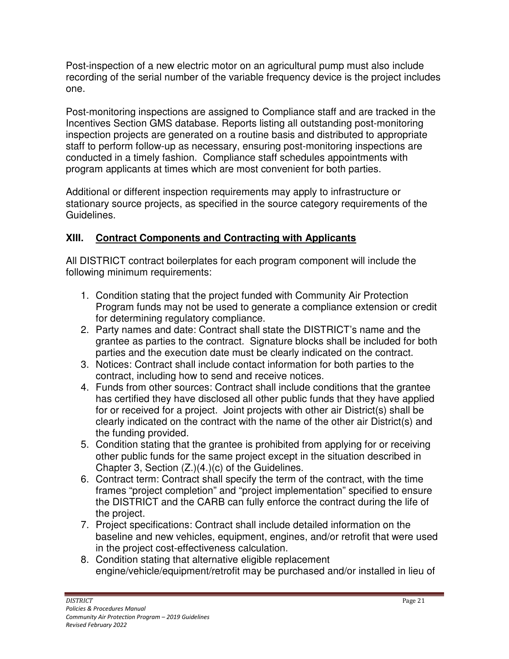Post-inspection of a new electric motor on an agricultural pump must also include recording of the serial number of the variable frequency device is the project includes one.

Post-monitoring inspections are assigned to Compliance staff and are tracked in the Incentives Section GMS database. Reports listing all outstanding post-monitoring inspection projects are generated on a routine basis and distributed to appropriate staff to perform follow-up as necessary, ensuring post-monitoring inspections are conducted in a timely fashion. Compliance staff schedules appointments with program applicants at times which are most convenient for both parties.

Additional or different inspection requirements may apply to infrastructure or stationary source projects, as specified in the source category requirements of the Guidelines.

### **XIII. Contract Components and Contracting with Applicants**

All DISTRICT contract boilerplates for each program component will include the following minimum requirements:

- 1. Condition stating that the project funded with Community Air Protection Program funds may not be used to generate a compliance extension or credit for determining regulatory compliance.
- 2. Party names and date: Contract shall state the DISTRICT's name and the grantee as parties to the contract. Signature blocks shall be included for both parties and the execution date must be clearly indicated on the contract.
- 3. Notices: Contract shall include contact information for both parties to the contract, including how to send and receive notices.
- 4. Funds from other sources: Contract shall include conditions that the grantee has certified they have disclosed all other public funds that they have applied for or received for a project. Joint projects with other air District(s) shall be clearly indicated on the contract with the name of the other air District(s) and the funding provided.
- 5. Condition stating that the grantee is prohibited from applying for or receiving other public funds for the same project except in the situation described in Chapter 3, Section (Z.)(4.)(c) of the Guidelines.
- 6. Contract term: Contract shall specify the term of the contract, with the time frames "project completion" and "project implementation" specified to ensure the DISTRICT and the CARB can fully enforce the contract during the life of the project.
- 7. Project specifications: Contract shall include detailed information on the baseline and new vehicles, equipment, engines, and/or retrofit that were used in the project cost-effectiveness calculation.
- 8. Condition stating that alternative eligible replacement engine/vehicle/equipment/retrofit may be purchased and/or installed in lieu of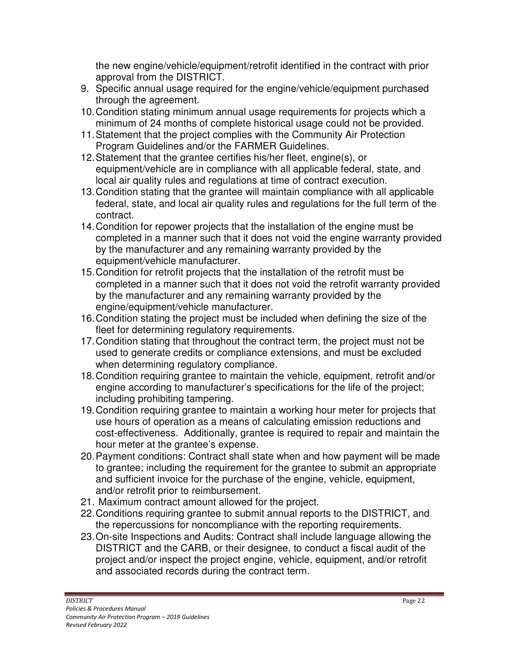the new engine/vehicle/equipment/retrofit identified in the contract with prior approval from the DISTRICT.

- 9. Specific annual usage required for the engine/vehicle/equipment purchased through the agreement.
- 10. Condition stating minimum annual usage requirements for projects which a minimum of 24 months of complete historical usage could not be provided.
- 11. Statement that the project complies with the Community Air Protection Program Guidelines and/or the FARMER Guidelines.
- 12. Statement that the grantee certifies his/her fleet, engine(s), or equipment/vehicle are in compliance with all applicable federal, state, and local air quality rules and regulations at time of contract execution.
- 13. Condition stating that the grantee will maintain compliance with all applicable federal, state, and local air quality rules and regulations for the full term of the contract.
- 14. Condition for repower projects that the installation of the engine must be completed in a manner such that it does not void the engine warranty provided by the manufacturer and any remaining warranty provided by the equipment/vehicle manufacturer.
- 15. Condition for retrofit projects that the installation of the retrofit must be completed in a manner such that it does not void the retrofit warranty provided by the manufacturer and any remaining warranty provided by the engine/equipment/vehicle manufacturer.
- 16. Condition stating the project must be included when defining the size of the fleet for determining regulatory requirements.
- 17. Condition stating that throughout the contract term, the project must not be used to generate credits or compliance extensions, and must be excluded when determining regulatory compliance.
- 18. Condition requiring grantee to maintain the vehicle, equipment, retrofit and/or engine according to manufacturer's specifications for the life of the project; including prohibiting tampering.
- 19. Condition requiring grantee to maintain a working hour meter for projects that use hours of operation as a means of calculating emission reductions and cost-effectiveness. Additionally, grantee is required to repair and maintain the hour meter at the grantee's expense.
- 20. Payment conditions: Contract shall state when and how payment will be made to grantee; including the requirement for the grantee to submit an appropriate and sufficient invoice for the purchase of the engine, vehicle, equipment, and/or retrofit prior to reimbursement.
- 21. Maximum contract amount allowed for the project.
- 22. Conditions requiring grantee to submit annual reports to the DISTRICT, and the repercussions for noncompliance with the reporting requirements.
- 23. On-site Inspections and Audits: Contract shall include language allowing the DISTRICT and the CARB, or their designee, to conduct a fiscal audit of the project and/or inspect the project engine, vehicle, equipment, and/or retrofit and associated records during the contract term.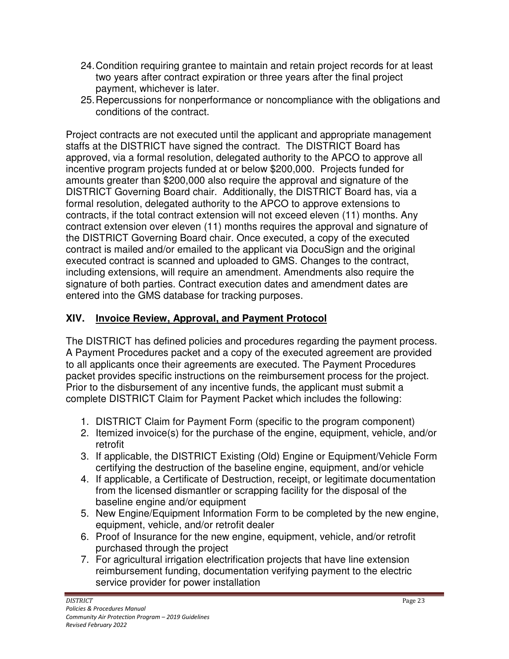- 24. Condition requiring grantee to maintain and retain project records for at least two years after contract expiration or three years after the final project payment, whichever is later.
- 25. Repercussions for nonperformance or noncompliance with the obligations and conditions of the contract.

Project contracts are not executed until the applicant and appropriate management staffs at the DISTRICT have signed the contract. The DISTRICT Board has approved, via a formal resolution, delegated authority to the APCO to approve all incentive program projects funded at or below \$200,000. Projects funded for amounts greater than \$200,000 also require the approval and signature of the DISTRICT Governing Board chair. Additionally, the DISTRICT Board has, via a formal resolution, delegated authority to the APCO to approve extensions to contracts, if the total contract extension will not exceed eleven (11) months. Any contract extension over eleven (11) months requires the approval and signature of the DISTRICT Governing Board chair. Once executed, a copy of the executed contract is mailed and/or emailed to the applicant via DocuSign and the original executed contract is scanned and uploaded to GMS. Changes to the contract, including extensions, will require an amendment. Amendments also require the signature of both parties. Contract execution dates and amendment dates are entered into the GMS database for tracking purposes.

## **XIV. Invoice Review, Approval, and Payment Protocol**

The DISTRICT has defined policies and procedures regarding the payment process. A Payment Procedures packet and a copy of the executed agreement are provided to all applicants once their agreements are executed. The Payment Procedures packet provides specific instructions on the reimbursement process for the project. Prior to the disbursement of any incentive funds, the applicant must submit a complete DISTRICT Claim for Payment Packet which includes the following:

- 1. DISTRICT Claim for Payment Form (specific to the program component)
- 2. Itemized invoice(s) for the purchase of the engine, equipment, vehicle, and/or retrofit
- 3. If applicable, the DISTRICT Existing (Old) Engine or Equipment/Vehicle Form certifying the destruction of the baseline engine, equipment, and/or vehicle
- 4. If applicable, a Certificate of Destruction, receipt, or legitimate documentation from the licensed dismantler or scrapping facility for the disposal of the baseline engine and/or equipment
- 5. New Engine/Equipment Information Form to be completed by the new engine, equipment, vehicle, and/or retrofit dealer
- 6. Proof of Insurance for the new engine, equipment, vehicle, and/or retrofit purchased through the project
- 7. For agricultural irrigation electrification projects that have line extension reimbursement funding, documentation verifying payment to the electric service provider for power installation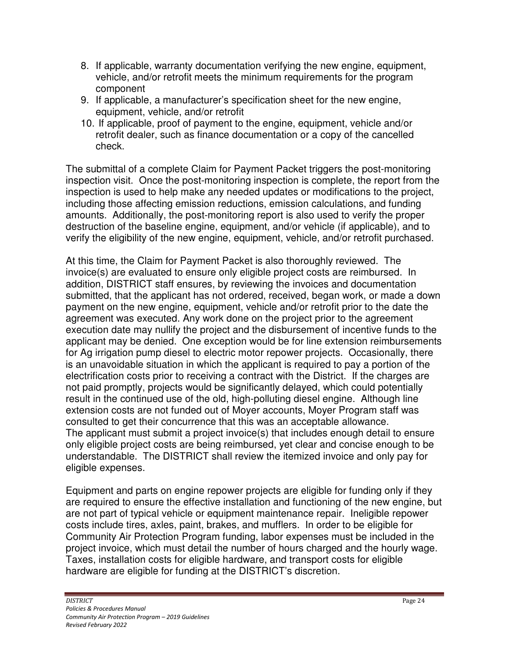- 8. If applicable, warranty documentation verifying the new engine, equipment, vehicle, and/or retrofit meets the minimum requirements for the program component
- 9. If applicable, a manufacturer's specification sheet for the new engine, equipment, vehicle, and/or retrofit
- 10. If applicable, proof of payment to the engine, equipment, vehicle and/or retrofit dealer, such as finance documentation or a copy of the cancelled check.

The submittal of a complete Claim for Payment Packet triggers the post-monitoring inspection visit. Once the post-monitoring inspection is complete, the report from the inspection is used to help make any needed updates or modifications to the project, including those affecting emission reductions, emission calculations, and funding amounts. Additionally, the post-monitoring report is also used to verify the proper destruction of the baseline engine, equipment, and/or vehicle (if applicable), and to verify the eligibility of the new engine, equipment, vehicle, and/or retrofit purchased.

At this time, the Claim for Payment Packet is also thoroughly reviewed. The invoice(s) are evaluated to ensure only eligible project costs are reimbursed. In addition, DISTRICT staff ensures, by reviewing the invoices and documentation submitted, that the applicant has not ordered, received, began work, or made a down payment on the new engine, equipment, vehicle and/or retrofit prior to the date the agreement was executed. Any work done on the project prior to the agreement execution date may nullify the project and the disbursement of incentive funds to the applicant may be denied. One exception would be for line extension reimbursements for Ag irrigation pump diesel to electric motor repower projects. Occasionally, there is an unavoidable situation in which the applicant is required to pay a portion of the electrification costs prior to receiving a contract with the District. If the charges are not paid promptly, projects would be significantly delayed, which could potentially result in the continued use of the old, high-polluting diesel engine. Although line extension costs are not funded out of Moyer accounts, Moyer Program staff was consulted to get their concurrence that this was an acceptable allowance. The applicant must submit a project invoice(s) that includes enough detail to ensure only eligible project costs are being reimbursed, yet clear and concise enough to be understandable. The DISTRICT shall review the itemized invoice and only pay for eligible expenses.

Equipment and parts on engine repower projects are eligible for funding only if they are required to ensure the effective installation and functioning of the new engine, but are not part of typical vehicle or equipment maintenance repair. Ineligible repower costs include tires, axles, paint, brakes, and mufflers. In order to be eligible for Community Air Protection Program funding, labor expenses must be included in the project invoice, which must detail the number of hours charged and the hourly wage. Taxes, installation costs for eligible hardware, and transport costs for eligible hardware are eligible for funding at the DISTRICT's discretion.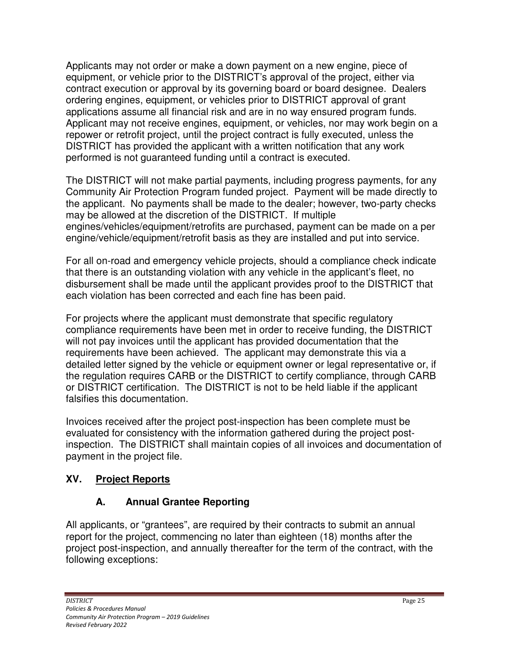Applicants may not order or make a down payment on a new engine, piece of equipment, or vehicle prior to the DISTRICT's approval of the project, either via contract execution or approval by its governing board or board designee. Dealers ordering engines, equipment, or vehicles prior to DISTRICT approval of grant applications assume all financial risk and are in no way ensured program funds. Applicant may not receive engines, equipment, or vehicles, nor may work begin on a repower or retrofit project, until the project contract is fully executed, unless the DISTRICT has provided the applicant with a written notification that any work performed is not guaranteed funding until a contract is executed.

The DISTRICT will not make partial payments, including progress payments, for any Community Air Protection Program funded project. Payment will be made directly to the applicant. No payments shall be made to the dealer; however, two-party checks may be allowed at the discretion of the DISTRICT. If multiple engines/vehicles/equipment/retrofits are purchased, payment can be made on a per engine/vehicle/equipment/retrofit basis as they are installed and put into service.

For all on-road and emergency vehicle projects, should a compliance check indicate that there is an outstanding violation with any vehicle in the applicant's fleet, no disbursement shall be made until the applicant provides proof to the DISTRICT that each violation has been corrected and each fine has been paid.

For projects where the applicant must demonstrate that specific regulatory compliance requirements have been met in order to receive funding, the DISTRICT will not pay invoices until the applicant has provided documentation that the requirements have been achieved. The applicant may demonstrate this via a detailed letter signed by the vehicle or equipment owner or legal representative or, if the regulation requires CARB or the DISTRICT to certify compliance, through CARB or DISTRICT certification. The DISTRICT is not to be held liable if the applicant falsifies this documentation.

Invoices received after the project post-inspection has been complete must be evaluated for consistency with the information gathered during the project postinspection. The DISTRICT shall maintain copies of all invoices and documentation of payment in the project file.

# **XV. Project Reports**

# **A. Annual Grantee Reporting**

All applicants, or "grantees", are required by their contracts to submit an annual report for the project, commencing no later than eighteen (18) months after the project post-inspection, and annually thereafter for the term of the contract, with the following exceptions: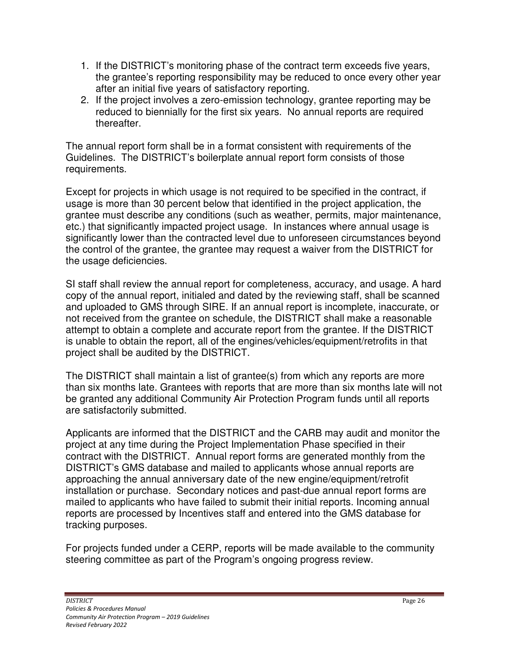- 1. If the DISTRICT's monitoring phase of the contract term exceeds five years, the grantee's reporting responsibility may be reduced to once every other year after an initial five years of satisfactory reporting.
- 2. If the project involves a zero-emission technology, grantee reporting may be reduced to biennially for the first six years. No annual reports are required thereafter.

The annual report form shall be in a format consistent with requirements of the Guidelines. The DISTRICT's boilerplate annual report form consists of those requirements.

Except for projects in which usage is not required to be specified in the contract, if usage is more than 30 percent below that identified in the project application, the grantee must describe any conditions (such as weather, permits, major maintenance, etc.) that significantly impacted project usage. In instances where annual usage is significantly lower than the contracted level due to unforeseen circumstances beyond the control of the grantee, the grantee may request a waiver from the DISTRICT for the usage deficiencies.

SI staff shall review the annual report for completeness, accuracy, and usage. A hard copy of the annual report, initialed and dated by the reviewing staff, shall be scanned and uploaded to GMS through SIRE. If an annual report is incomplete, inaccurate, or not received from the grantee on schedule, the DISTRICT shall make a reasonable attempt to obtain a complete and accurate report from the grantee. If the DISTRICT is unable to obtain the report, all of the engines/vehicles/equipment/retrofits in that project shall be audited by the DISTRICT.

The DISTRICT shall maintain a list of grantee(s) from which any reports are more than six months late. Grantees with reports that are more than six months late will not be granted any additional Community Air Protection Program funds until all reports are satisfactorily submitted.

Applicants are informed that the DISTRICT and the CARB may audit and monitor the project at any time during the Project Implementation Phase specified in their contract with the DISTRICT. Annual report forms are generated monthly from the DISTRICT's GMS database and mailed to applicants whose annual reports are approaching the annual anniversary date of the new engine/equipment/retrofit installation or purchase. Secondary notices and past-due annual report forms are mailed to applicants who have failed to submit their initial reports. Incoming annual reports are processed by Incentives staff and entered into the GMS database for tracking purposes.

For projects funded under a CERP, reports will be made available to the community steering committee as part of the Program's ongoing progress review.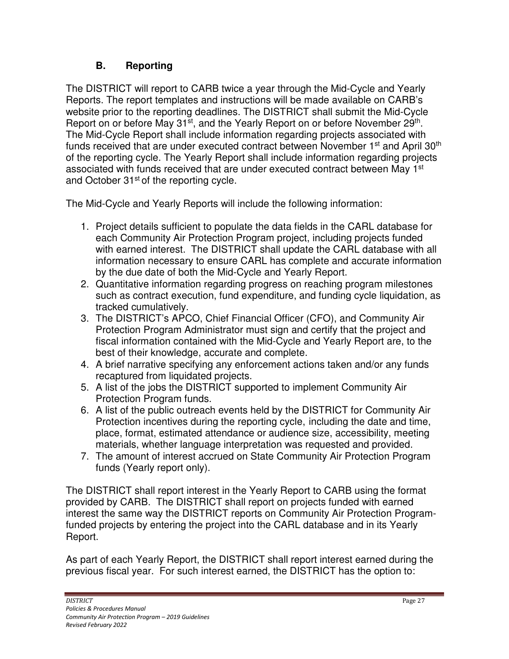## **B. Reporting**

The DISTRICT will report to CARB twice a year through the Mid-Cycle and Yearly Reports. The report templates and instructions will be made available on CARB's website prior to the reporting deadlines. The DISTRICT shall submit the Mid-Cycle Report on or before May 31<sup>st</sup>, and the Yearly Report on or before November 29<sup>th</sup>. The Mid-Cycle Report shall include information regarding projects associated with funds received that are under executed contract between November 1<sup>st</sup> and April 30<sup>th</sup> of the reporting cycle. The Yearly Report shall include information regarding projects associated with funds received that are under executed contract between May 1<sup>st</sup> and October 31<sup>st</sup> of the reporting cycle.

The Mid-Cycle and Yearly Reports will include the following information:

- 1. Project details sufficient to populate the data fields in the CARL database for each Community Air Protection Program project, including projects funded with earned interest. The DISTRICT shall update the CARL database with all information necessary to ensure CARL has complete and accurate information by the due date of both the Mid-Cycle and Yearly Report.
- 2. Quantitative information regarding progress on reaching program milestones such as contract execution, fund expenditure, and funding cycle liquidation, as tracked cumulatively.
- 3. The DISTRICT's APCO, Chief Financial Officer (CFO), and Community Air Protection Program Administrator must sign and certify that the project and fiscal information contained with the Mid-Cycle and Yearly Report are, to the best of their knowledge, accurate and complete.
- 4. A brief narrative specifying any enforcement actions taken and/or any funds recaptured from liquidated projects.
- 5. A list of the jobs the DISTRICT supported to implement Community Air Protection Program funds.
- 6. A list of the public outreach events held by the DISTRICT for Community Air Protection incentives during the reporting cycle, including the date and time, place, format, estimated attendance or audience size, accessibility, meeting materials, whether language interpretation was requested and provided.
- 7. The amount of interest accrued on State Community Air Protection Program funds (Yearly report only).

The DISTRICT shall report interest in the Yearly Report to CARB using the format provided by CARB. The DISTRICT shall report on projects funded with earned interest the same way the DISTRICT reports on Community Air Protection Programfunded projects by entering the project into the CARL database and in its Yearly Report.

As part of each Yearly Report, the DISTRICT shall report interest earned during the previous fiscal year. For such interest earned, the DISTRICT has the option to: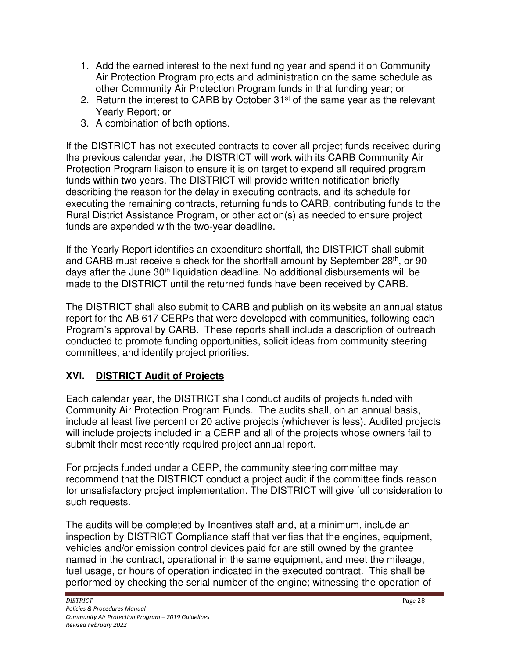- 1. Add the earned interest to the next funding year and spend it on Community Air Protection Program projects and administration on the same schedule as other Community Air Protection Program funds in that funding year; or
- 2. Return the interest to CARB by October  $31<sup>st</sup>$  of the same year as the relevant Yearly Report; or
- 3. A combination of both options.

If the DISTRICT has not executed contracts to cover all project funds received during the previous calendar year, the DISTRICT will work with its CARB Community Air Protection Program liaison to ensure it is on target to expend all required program funds within two years. The DISTRICT will provide written notification briefly describing the reason for the delay in executing contracts, and its schedule for executing the remaining contracts, returning funds to CARB, contributing funds to the Rural District Assistance Program, or other action(s) as needed to ensure project funds are expended with the two-year deadline.

If the Yearly Report identifies an expenditure shortfall, the DISTRICT shall submit and CARB must receive a check for the shortfall amount by September 28<sup>th</sup>, or 90 days after the June 30<sup>th</sup> liquidation deadline. No additional disbursements will be made to the DISTRICT until the returned funds have been received by CARB.

The DISTRICT shall also submit to CARB and publish on its website an annual status report for the AB 617 CERPs that were developed with communities, following each Program's approval by CARB. These reports shall include a description of outreach conducted to promote funding opportunities, solicit ideas from community steering committees, and identify project priorities.

### **XVI. DISTRICT Audit of Projects**

Each calendar year, the DISTRICT shall conduct audits of projects funded with Community Air Protection Program Funds. The audits shall, on an annual basis, include at least five percent or 20 active projects (whichever is less). Audited projects will include projects included in a CERP and all of the projects whose owners fail to submit their most recently required project annual report.

For projects funded under a CERP, the community steering committee may recommend that the DISTRICT conduct a project audit if the committee finds reason for unsatisfactory project implementation. The DISTRICT will give full consideration to such requests.

The audits will be completed by Incentives staff and, at a minimum, include an inspection by DISTRICT Compliance staff that verifies that the engines, equipment, vehicles and/or emission control devices paid for are still owned by the grantee named in the contract, operational in the same equipment, and meet the mileage, fuel usage, or hours of operation indicated in the executed contract. This shall be performed by checking the serial number of the engine; witnessing the operation of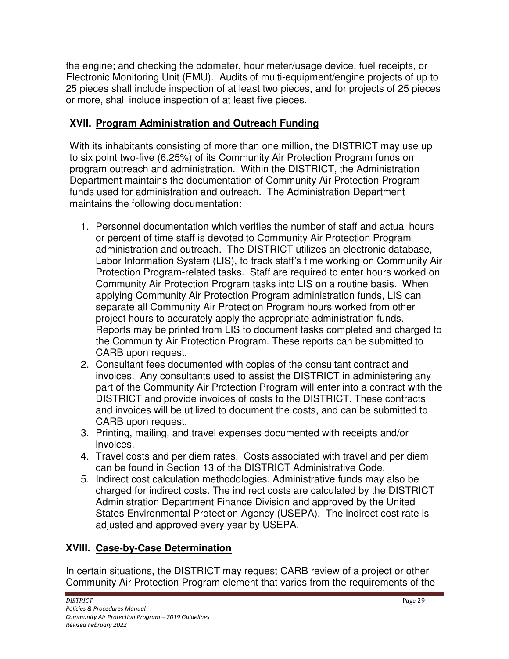the engine; and checking the odometer, hour meter/usage device, fuel receipts, or Electronic Monitoring Unit (EMU). Audits of multi-equipment/engine projects of up to 25 pieces shall include inspection of at least two pieces, and for projects of 25 pieces or more, shall include inspection of at least five pieces.

## **XVII. Program Administration and Outreach Funding**

With its inhabitants consisting of more than one million, the DISTRICT may use up to six point two-five (6.25%) of its Community Air Protection Program funds on program outreach and administration. Within the DISTRICT, the Administration Department maintains the documentation of Community Air Protection Program funds used for administration and outreach. The Administration Department maintains the following documentation:

- 1. Personnel documentation which verifies the number of staff and actual hours or percent of time staff is devoted to Community Air Protection Program administration and outreach. The DISTRICT utilizes an electronic database, Labor Information System (LIS), to track staff's time working on Community Air Protection Program-related tasks. Staff are required to enter hours worked on Community Air Protection Program tasks into LIS on a routine basis. When applying Community Air Protection Program administration funds, LIS can separate all Community Air Protection Program hours worked from other project hours to accurately apply the appropriate administration funds. Reports may be printed from LIS to document tasks completed and charged to the Community Air Protection Program. These reports can be submitted to CARB upon request.
- 2. Consultant fees documented with copies of the consultant contract and invoices. Any consultants used to assist the DISTRICT in administering any part of the Community Air Protection Program will enter into a contract with the DISTRICT and provide invoices of costs to the DISTRICT. These contracts and invoices will be utilized to document the costs, and can be submitted to CARB upon request.
- 3. Printing, mailing, and travel expenses documented with receipts and/or invoices.
- 4. Travel costs and per diem rates. Costs associated with travel and per diem can be found in Section 13 of the DISTRICT Administrative Code.
- 5. Indirect cost calculation methodologies. Administrative funds may also be charged for indirect costs. The indirect costs are calculated by the DISTRICT Administration Department Finance Division and approved by the United States Environmental Protection Agency (USEPA). The indirect cost rate is adjusted and approved every year by USEPA.

# **XVIII. Case-by-Case Determination**

In certain situations, the DISTRICT may request CARB review of a project or other Community Air Protection Program element that varies from the requirements of the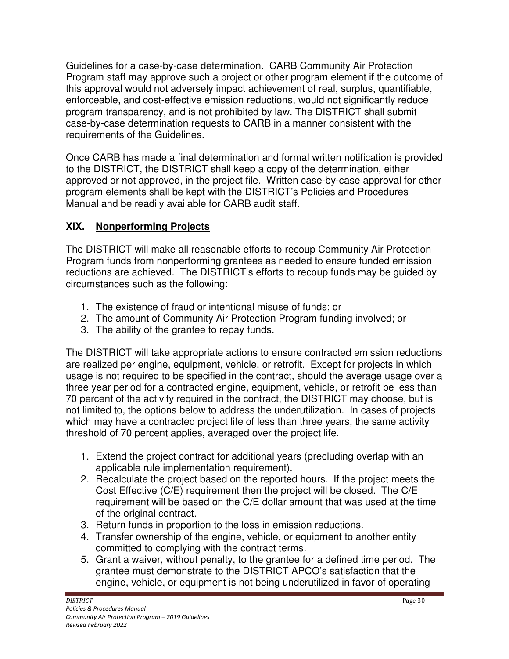Guidelines for a case-by-case determination. CARB Community Air Protection Program staff may approve such a project or other program element if the outcome of this approval would not adversely impact achievement of real, surplus, quantifiable, enforceable, and cost-effective emission reductions, would not significantly reduce program transparency, and is not prohibited by law. The DISTRICT shall submit case-by-case determination requests to CARB in a manner consistent with the requirements of the Guidelines.

Once CARB has made a final determination and formal written notification is provided to the DISTRICT, the DISTRICT shall keep a copy of the determination, either approved or not approved, in the project file. Written case-by-case approval for other program elements shall be kept with the DISTRICT's Policies and Procedures Manual and be readily available for CARB audit staff.

### **XIX. Nonperforming Projects**

The DISTRICT will make all reasonable efforts to recoup Community Air Protection Program funds from nonperforming grantees as needed to ensure funded emission reductions are achieved. The DISTRICT's efforts to recoup funds may be guided by circumstances such as the following:

- 1. The existence of fraud or intentional misuse of funds; or
- 2. The amount of Community Air Protection Program funding involved; or
- 3. The ability of the grantee to repay funds.

The DISTRICT will take appropriate actions to ensure contracted emission reductions are realized per engine, equipment, vehicle, or retrofit. Except for projects in which usage is not required to be specified in the contract, should the average usage over a three year period for a contracted engine, equipment, vehicle, or retrofit be less than 70 percent of the activity required in the contract, the DISTRICT may choose, but is not limited to, the options below to address the underutilization. In cases of projects which may have a contracted project life of less than three years, the same activity threshold of 70 percent applies, averaged over the project life.

- 1. Extend the project contract for additional years (precluding overlap with an applicable rule implementation requirement).
- 2. Recalculate the project based on the reported hours. If the project meets the Cost Effective (C/E) requirement then the project will be closed. The C/E requirement will be based on the C/E dollar amount that was used at the time of the original contract.
- 3. Return funds in proportion to the loss in emission reductions.
- 4. Transfer ownership of the engine, vehicle, or equipment to another entity committed to complying with the contract terms.
- 5. Grant a waiver, without penalty, to the grantee for a defined time period. The grantee must demonstrate to the DISTRICT APCO's satisfaction that the engine, vehicle, or equipment is not being underutilized in favor of operating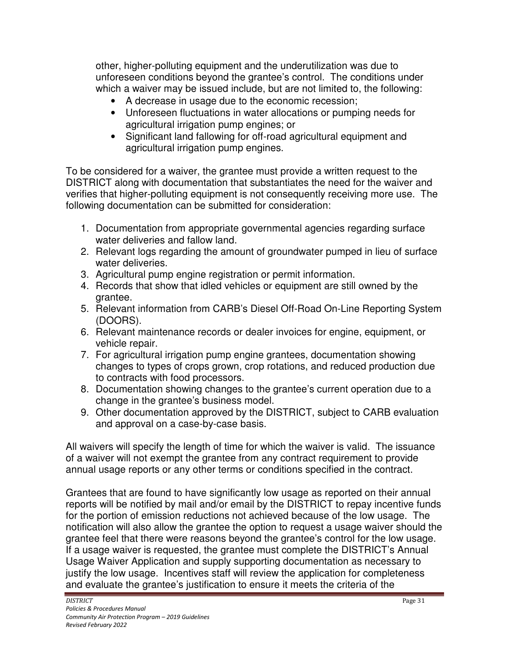other, higher-polluting equipment and the underutilization was due to unforeseen conditions beyond the grantee's control. The conditions under which a waiver may be issued include, but are not limited to, the following:

- A decrease in usage due to the economic recession;
- Unforeseen fluctuations in water allocations or pumping needs for agricultural irrigation pump engines; or
- Significant land fallowing for off-road agricultural equipment and agricultural irrigation pump engines.

To be considered for a waiver, the grantee must provide a written request to the DISTRICT along with documentation that substantiates the need for the waiver and verifies that higher-polluting equipment is not consequently receiving more use. The following documentation can be submitted for consideration:

- 1. Documentation from appropriate governmental agencies regarding surface water deliveries and fallow land.
- 2. Relevant logs regarding the amount of groundwater pumped in lieu of surface water deliveries.
- 3. Agricultural pump engine registration or permit information.
- 4. Records that show that idled vehicles or equipment are still owned by the grantee.
- 5. Relevant information from CARB's Diesel Off-Road On-Line Reporting System (DOORS).
- 6. Relevant maintenance records or dealer invoices for engine, equipment, or vehicle repair.
- 7. For agricultural irrigation pump engine grantees, documentation showing changes to types of crops grown, crop rotations, and reduced production due to contracts with food processors.
- 8. Documentation showing changes to the grantee's current operation due to a change in the grantee's business model.
- 9. Other documentation approved by the DISTRICT, subject to CARB evaluation and approval on a case-by-case basis.

All waivers will specify the length of time for which the waiver is valid. The issuance of a waiver will not exempt the grantee from any contract requirement to provide annual usage reports or any other terms or conditions specified in the contract.

Grantees that are found to have significantly low usage as reported on their annual reports will be notified by mail and/or email by the DISTRICT to repay incentive funds for the portion of emission reductions not achieved because of the low usage. The notification will also allow the grantee the option to request a usage waiver should the grantee feel that there were reasons beyond the grantee's control for the low usage. If a usage waiver is requested, the grantee must complete the DISTRICT's Annual Usage Waiver Application and supply supporting documentation as necessary to justify the low usage. Incentives staff will review the application for completeness and evaluate the grantee's justification to ensure it meets the criteria of the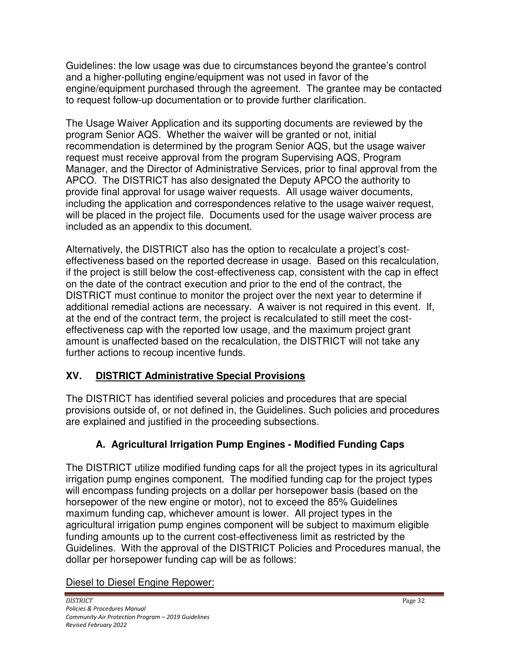Guidelines: the low usage was due to circumstances beyond the grantee's control and a higher-polluting engine/equipment was not used in favor of the engine/equipment purchased through the agreement. The grantee may be contacted to request follow-up documentation or to provide further clarification.

The Usage Waiver Application and its supporting documents are reviewed by the program Senior AQS. Whether the waiver will be granted or not, initial recommendation is determined by the program Senior AQS, but the usage waiver request must receive approval from the program Supervising AQS, Program Manager, and the Director of Administrative Services, prior to final approval from the APCO. The DISTRICT has also designated the Deputy APCO the authority to provide final approval for usage waiver requests. All usage waiver documents, including the application and correspondences relative to the usage waiver request, will be placed in the project file. Documents used for the usage waiver process are included as an appendix to this document.

Alternatively, the DISTRICT also has the option to recalculate a project's costeffectiveness based on the reported decrease in usage. Based on this recalculation, if the project is still below the cost-effectiveness cap, consistent with the cap in effect on the date of the contract execution and prior to the end of the contract, the DISTRICT must continue to monitor the project over the next year to determine if additional remedial actions are necessary. A waiver is not required in this event. If, at the end of the contract term, the project is recalculated to still meet the costeffectiveness cap with the reported low usage, and the maximum project grant amount is unaffected based on the recalculation, the DISTRICT will not take any further actions to recoup incentive funds.

### **XV. DISTRICT Administrative Special Provisions**

The DISTRICT has identified several policies and procedures that are special provisions outside of, or not defined in, the Guidelines. Such policies and procedures are explained and justified in the proceeding subsections.

# **A. Agricultural Irrigation Pump Engines - Modified Funding Caps**

The DISTRICT utilize modified funding caps for all the project types in its agricultural irrigation pump engines component. The modified funding cap for the project types will encompass funding projects on a dollar per horsepower basis (based on the horsepower of the new engine or motor), not to exceed the 85% Guidelines maximum funding cap, whichever amount is lower. All project types in the agricultural irrigation pump engines component will be subject to maximum eligible funding amounts up to the current cost-effectiveness limit as restricted by the Guidelines. With the approval of the DISTRICT Policies and Procedures manual, the dollar per horsepower funding cap will be as follows:

### Diesel to Diesel Engine Repower: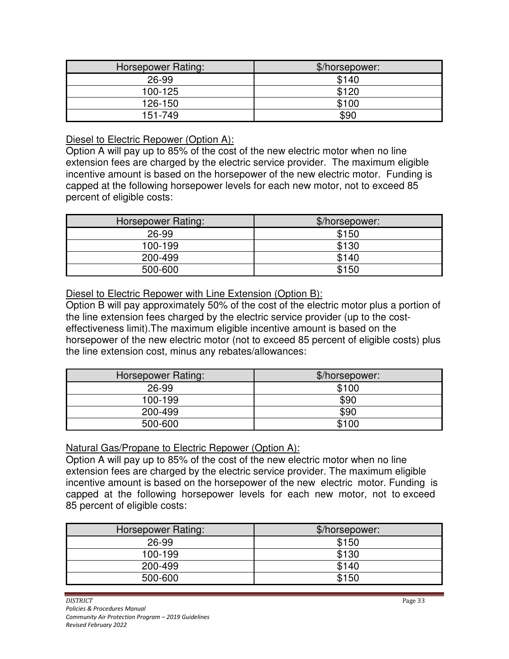| Horsepower Rating: | \$/horsepower: |  |
|--------------------|----------------|--|
| 26-99              | \$140          |  |
| 100-125            | \$120          |  |
| 126-150            | \$100          |  |
| 151-749            | \$90           |  |

#### Diesel to Electric Repower (Option A):

Option A will pay up to 85% of the cost of the new electric motor when no line extension fees are charged by the electric service provider. The maximum eligible incentive amount is based on the horsepower of the new electric motor. Funding is capped at the following horsepower levels for each new motor, not to exceed 85 percent of eligible costs:

| Horsepower Rating: | \$/horsepower: |  |
|--------------------|----------------|--|
| 26-99              | \$150          |  |
| 100-199            | \$130          |  |
| 200-499            | \$140          |  |
| 500-600            | \$150          |  |

#### Diesel to Electric Repower with Line Extension (Option B):

Option B will pay approximately 50% of the cost of the electric motor plus a portion of the line extension fees charged by the electric service provider (up to the costeffectiveness limit).The maximum eligible incentive amount is based on the horsepower of the new electric motor (not to exceed 85 percent of eligible costs) plus the line extension cost, minus any rebates/allowances:

| Horsepower Rating: | \$/horsepower: |  |
|--------------------|----------------|--|
| 26-99              | \$100          |  |
| 100-199            | \$90           |  |
| 200-499            | \$90           |  |
| 500-600            | \$100          |  |

#### Natural Gas/Propane to Electric Repower (Option A):

Option A will pay up to 85% of the cost of the new electric motor when no line extension fees are charged by the electric service provider. The maximum eligible incentive amount is based on the horsepower of the new electric motor. Funding is capped at the following horsepower levels for each new motor, not to exceed 85 percent of eligible costs:

| Horsepower Rating: | \$/horsepower: |  |
|--------------------|----------------|--|
| 26-99              | \$150          |  |
| 100-199            | \$130          |  |
| 200-499            | \$140          |  |
| 500-600            | \$150          |  |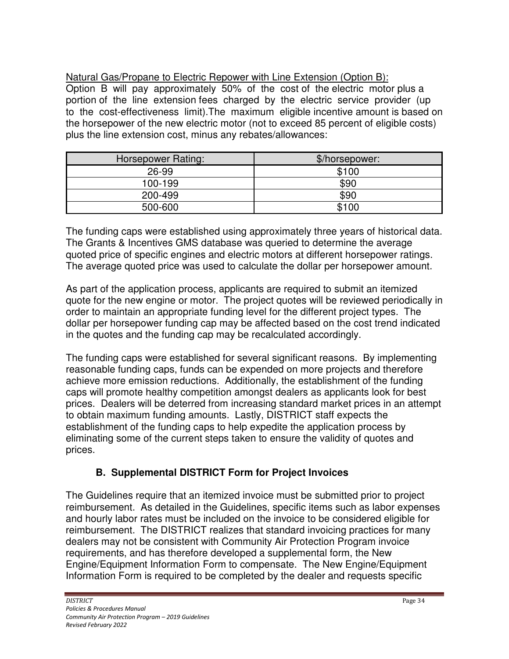Natural Gas/Propane to Electric Repower with Line Extension (Option B): Option B will pay approximately 50% of the cost of the electric motor plus a portion of the line extension fees charged by the electric service provider (up to the cost-effectiveness limit).The maximum eligible incentive amount is based on the horsepower of the new electric motor (not to exceed 85 percent of eligible costs) plus the line extension cost, minus any rebates/allowances:

| Horsepower Rating: | \$/horsepower: |  |
|--------------------|----------------|--|
| 26-99              | \$100          |  |
| 100-199            | \$90           |  |
| 200-499            | \$90           |  |
| 500-600            | \$100          |  |

The funding caps were established using approximately three years of historical data. The Grants & Incentives GMS database was queried to determine the average quoted price of specific engines and electric motors at different horsepower ratings. The average quoted price was used to calculate the dollar per horsepower amount.

As part of the application process, applicants are required to submit an itemized quote for the new engine or motor. The project quotes will be reviewed periodically in order to maintain an appropriate funding level for the different project types. The dollar per horsepower funding cap may be affected based on the cost trend indicated in the quotes and the funding cap may be recalculated accordingly.

The funding caps were established for several significant reasons. By implementing reasonable funding caps, funds can be expended on more projects and therefore achieve more emission reductions. Additionally, the establishment of the funding caps will promote healthy competition amongst dealers as applicants look for best prices. Dealers will be deterred from increasing standard market prices in an attempt to obtain maximum funding amounts. Lastly, DISTRICT staff expects the establishment of the funding caps to help expedite the application process by eliminating some of the current steps taken to ensure the validity of quotes and prices.

### **B. Supplemental DISTRICT Form for Project Invoices**

The Guidelines require that an itemized invoice must be submitted prior to project reimbursement. As detailed in the Guidelines, specific items such as labor expenses and hourly labor rates must be included on the invoice to be considered eligible for reimbursement. The DISTRICT realizes that standard invoicing practices for many dealers may not be consistent with Community Air Protection Program invoice requirements, and has therefore developed a supplemental form, the New Engine/Equipment Information Form to compensate. The New Engine/Equipment Information Form is required to be completed by the dealer and requests specific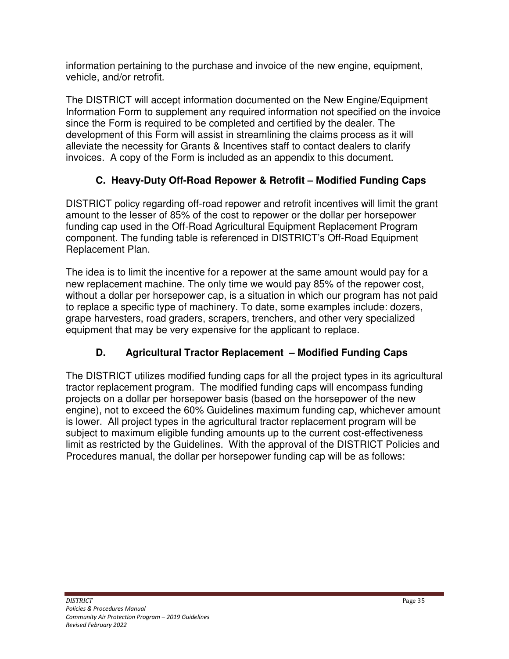information pertaining to the purchase and invoice of the new engine, equipment, vehicle, and/or retrofit.

The DISTRICT will accept information documented on the New Engine/Equipment Information Form to supplement any required information not specified on the invoice since the Form is required to be completed and certified by the dealer. The development of this Form will assist in streamlining the claims process as it will alleviate the necessity for Grants & Incentives staff to contact dealers to clarify invoices. A copy of the Form is included as an appendix to this document.

# **C. Heavy-Duty Off-Road Repower & Retrofit – Modified Funding Caps**

DISTRICT policy regarding off-road repower and retrofit incentives will limit the grant amount to the lesser of 85% of the cost to repower or the dollar per horsepower funding cap used in the Off-Road Agricultural Equipment Replacement Program component. The funding table is referenced in DISTRICT's Off-Road Equipment Replacement Plan.

The idea is to limit the incentive for a repower at the same amount would pay for a new replacement machine. The only time we would pay 85% of the repower cost, without a dollar per horsepower cap, is a situation in which our program has not paid to replace a specific type of machinery. To date, some examples include: dozers, grape harvesters, road graders, scrapers, trenchers, and other very specialized equipment that may be very expensive for the applicant to replace.

# **D. Agricultural Tractor Replacement – Modified Funding Caps**

The DISTRICT utilizes modified funding caps for all the project types in its agricultural tractor replacement program. The modified funding caps will encompass funding projects on a dollar per horsepower basis (based on the horsepower of the new engine), not to exceed the 60% Guidelines maximum funding cap, whichever amount is lower. All project types in the agricultural tractor replacement program will be subject to maximum eligible funding amounts up to the current cost-effectiveness limit as restricted by the Guidelines. With the approval of the DISTRICT Policies and Procedures manual, the dollar per horsepower funding cap will be as follows: